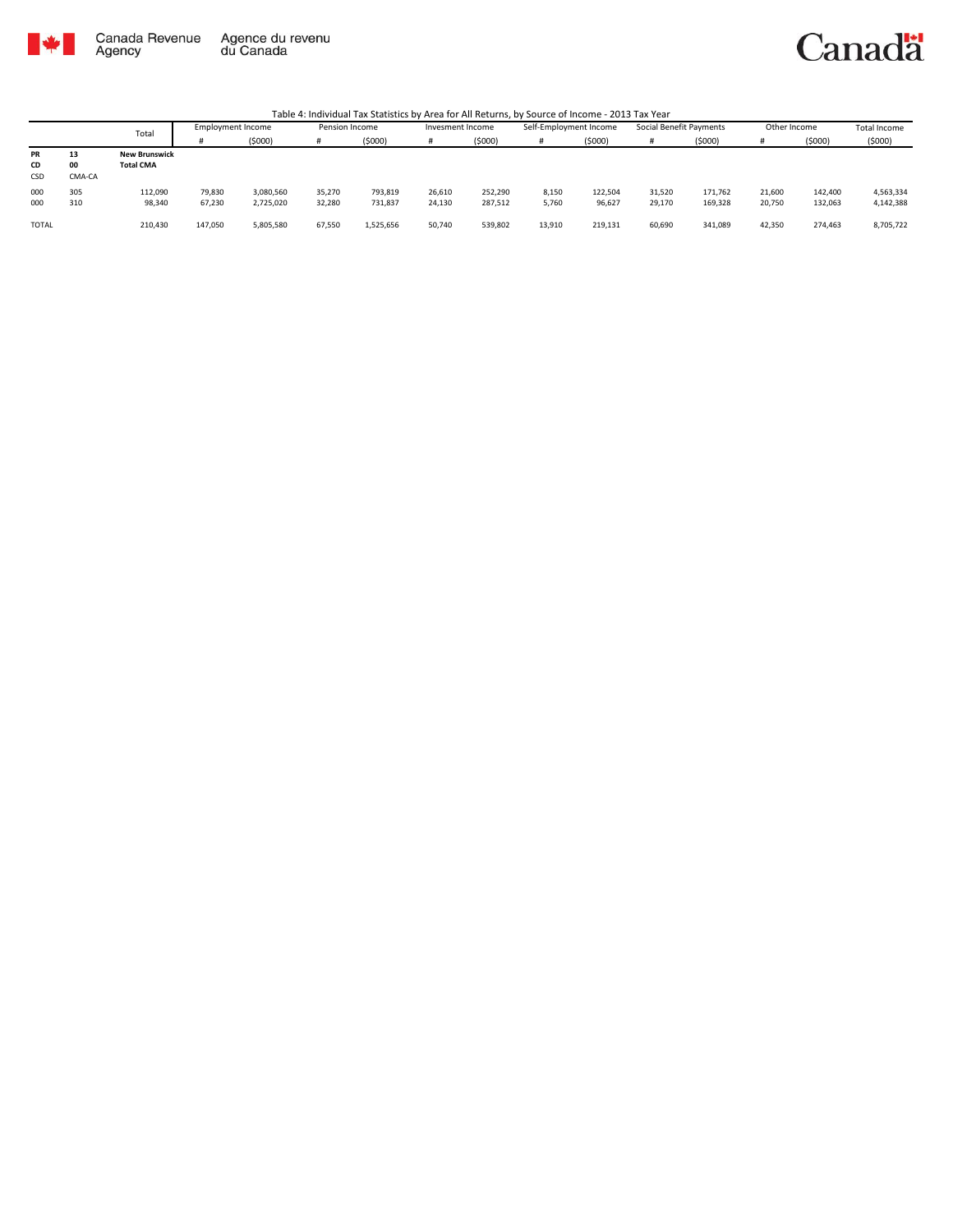

Canada Revenue<br>Agency Agence du revenu<br>du Canada Canadä

|                        |                    | Total                                    | Employment Income |                        | Pension Income   |                    | Invesment Income |                    | Self-Employment Income |                   | Social Benefit Payments |                    | Other Income     |                    | Total Income           |
|------------------------|--------------------|------------------------------------------|-------------------|------------------------|------------------|--------------------|------------------|--------------------|------------------------|-------------------|-------------------------|--------------------|------------------|--------------------|------------------------|
|                        |                    |                                          |                   | (5000)                 | Ħ                | (\$000)            |                  | (\$000)            | #                      | (5000)            |                         | (5000)             |                  | (5000)             | (5000)                 |
| PR<br>CD<br><b>CSD</b> | 13<br>00<br>CMA-CA | <b>New Brunswick</b><br><b>Total CMA</b> |                   |                        |                  |                    |                  |                    |                        |                   |                         |                    |                  |                    |                        |
| 000<br>000             | 305<br>310         | 112,090<br>98,340                        | 79,830<br>67,230  | 3,080,560<br>2,725,020 | 35.270<br>32,280 | 793,819<br>731,837 | 26,610<br>24,130 | 252.290<br>287,512 | 8,150<br>5,760         | 122,504<br>96,627 | 31.520<br>29,170        | 171,762<br>169,328 | 21,600<br>20,750 | 142,400<br>132,063 | 4,563,334<br>4,142,388 |
| <b>TOTAL</b>           |                    | 210,430                                  | 147,050           | 5,805,580              | 67,550           | 1,525,656          | 50,740           | 539,802            | 13,910                 | 219,131           | 60,690                  | 341,089            | 42,350           | 274,463            | 8,705,722              |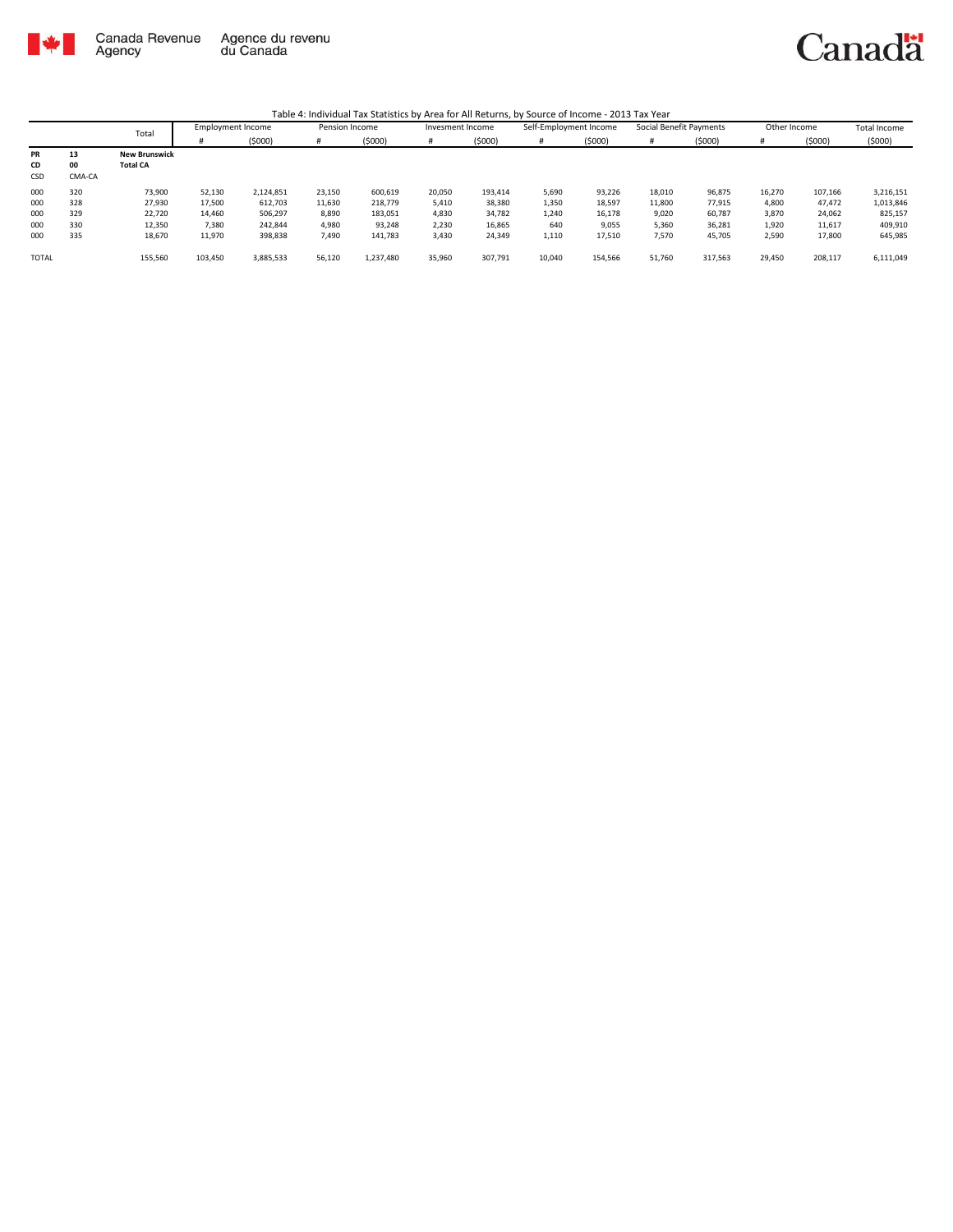

|              |        | Total                | <b>Employment Income</b> |           | Pension Income |           | Invesment Income |         | Self-Employment Income |         | Social Benefit Payments |         | Other Income |         | <b>Total Income</b> |
|--------------|--------|----------------------|--------------------------|-----------|----------------|-----------|------------------|---------|------------------------|---------|-------------------------|---------|--------------|---------|---------------------|
|              |        |                      |                          | (5000)    | #              | (5000)    |                  | (5000)  | #                      | (5000)  |                         | (5000)  |              | (5000)  | (5000)              |
| <b>PR</b>    | 13     | <b>New Brunswick</b> |                          |           |                |           |                  |         |                        |         |                         |         |              |         |                     |
| CD           | 00     | <b>Total CA</b>      |                          |           |                |           |                  |         |                        |         |                         |         |              |         |                     |
| CSD          | CMA-CA |                      |                          |           |                |           |                  |         |                        |         |                         |         |              |         |                     |
| 000          | 320    | 73,900               | 52,130                   | 2,124,851 | 23,150         | 600,619   | 20,050           | 193,414 | 5,690                  | 93,226  | 18,010                  | 96,875  | 16,270       | 107,166 | 3,216,151           |
| 000          | 328    | 27,930               | 17,500                   | 612,703   | 11,630         | 218,779   | 5,410            | 38,380  | 1,350                  | 18,597  | 11,800                  | 77,915  | 4,800        | 47,472  | 1,013,846           |
| 000          | 329    | 22,720               | 14,460                   | 506,297   | 8,890          | 183,051   | 4,830            | 34,782  | 1,240                  | 16,178  | 9,020                   | 60,787  | 3,870        | 24,062  | 825,157             |
| 000          | 330    | 12,350               | 7.380                    | 242.844   | 4,980          | 93,248    | 2,230            | 16,865  | 640                    | 9,055   | 5.360                   | 36,281  | 1,920        | 11,617  | 409,910             |
| 000          | 335    | 18,670               | 11,970                   | 398,838   | 7,490          | 141,783   | 3,430            | 24,349  | 1,110                  | 17,510  | 7,570                   | 45,705  | 2,590        | 17,800  | 645,985             |
| <b>TOTAL</b> |        | 155,560              | 103,450                  | 3,885,533 | 56,120         | 1,237,480 | 35,960           | 307,791 | 10,040                 | 154,566 | 51,760                  | 317,563 | 29,450       | 208,117 | 6,111,049           |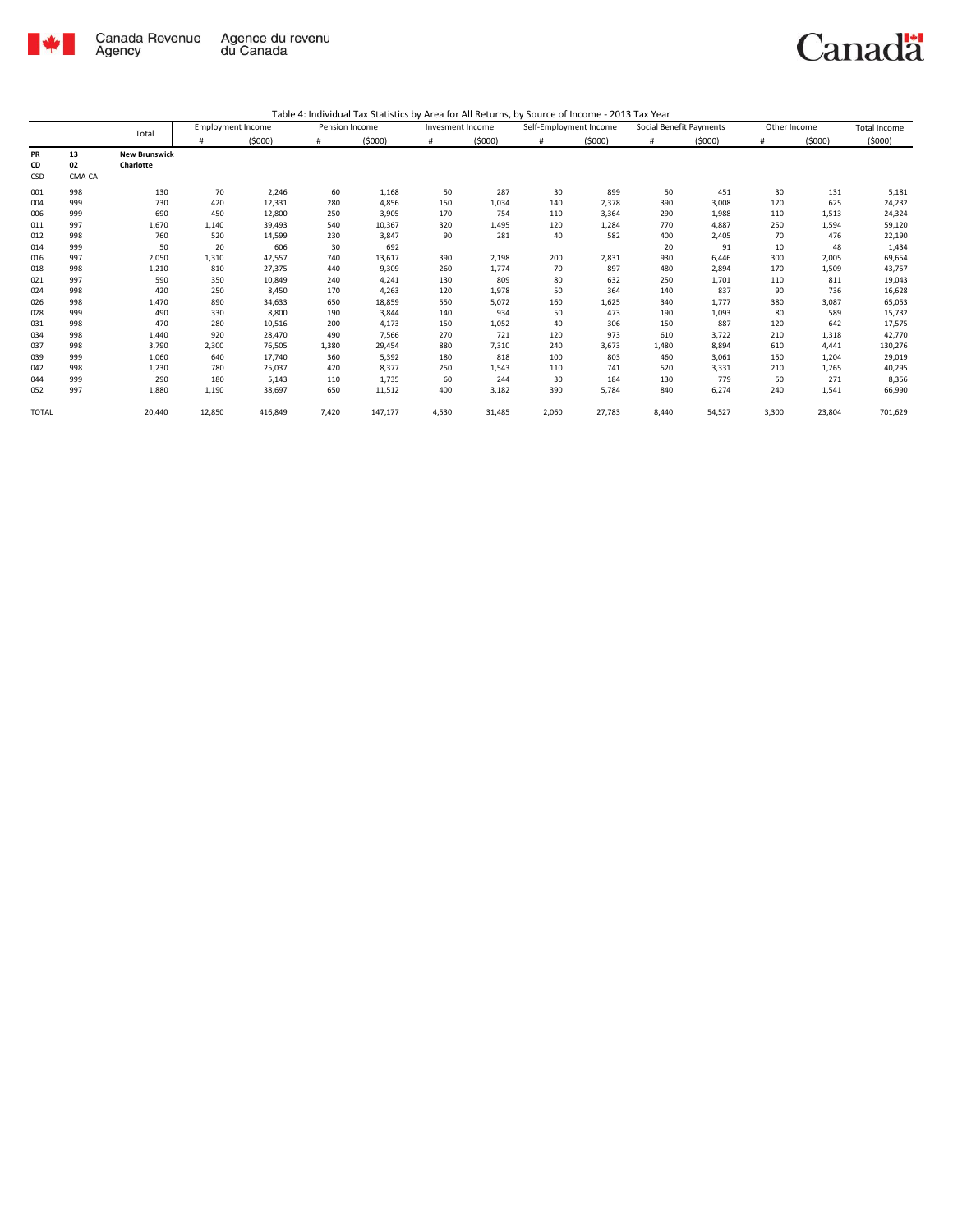

|              |          | Total                             | <b>Employment Income</b> |         | Pension Income |         | Invesment Income |        | Self-Employment Income |        | Social Benefit Payments |        | Other Income |        | Total Income |
|--------------|----------|-----------------------------------|--------------------------|---------|----------------|---------|------------------|--------|------------------------|--------|-------------------------|--------|--------------|--------|--------------|
|              |          |                                   |                          | (5000)  | #              | (5000)  | #                | (5000) | $\#$                   | (5000) | #                       | (5000) | #            | (5000) | (5000)       |
| PR<br>CD     | 13<br>02 | <b>New Brunswick</b><br>Charlotte |                          |         |                |         |                  |        |                        |        |                         |        |              |        |              |
| CSD          | CMA-CA   |                                   |                          |         |                |         |                  |        |                        |        |                         |        |              |        |              |
| 001          | 998      | 130                               | 70                       | 2,246   | 60             | 1,168   | 50               | 287    | 30                     | 899    | 50                      | 451    | 30           | 131    | 5,181        |
| 004          | 999      | 730                               | 420                      | 12,331  | 280            | 4,856   | 150              | 1,034  | 140                    | 2,378  | 390                     | 3,008  | 120          | 625    | 24,232       |
| 006          | 999      | 690                               | 450                      | 12,800  | 250            | 3,905   | 170              | 754    | 110                    | 3,364  | 290                     | 1,988  | 110          | 1,513  | 24,324       |
| 011          | 997      | 1,670                             | 1,140                    | 39,493  | 540            | 10,367  | 320              | 1,495  | 120                    | 1,284  | 770                     | 4,887  | 250          | 1,594  | 59,120       |
| 012          | 998      | 760                               | 520                      | 14,599  | 230            | 3,847   | 90               | 281    | 40                     | 582    | 400                     | 2,405  | 70           | 476    | 22,190       |
| 014          | 999      | 50                                | 20                       | 606     | 30             | 692     |                  |        |                        |        | 20                      | 91     | 10           | 48     | 1,434        |
| 016          | 997      | 2,050                             | 1,310                    | 42,557  | 740            | 13,617  | 390              | 2,198  | 200                    | 2,831  | 930                     | 6,446  | 300          | 2,005  | 69,654       |
| 018          | 998      | 1,210                             | 810                      | 27,375  | 440            | 9,309   | 260              | 1,774  | 70                     | 897    | 480                     | 2,894  | 170          | 1,509  | 43,757       |
| 021          | 997      | 590                               | 350                      | 10,849  | 240            | 4,241   | 130              | 809    | 80                     | 632    | 250                     | 1,701  | 110          | 811    | 19,043       |
| 024          | 998      | 420                               | 250                      | 8,450   | 170            | 4,263   | 120              | 1,978  | 50                     | 364    | 140                     | 837    | 90           | 736    | 16,628       |
| 026          | 998      | 1,470                             | 890                      | 34,633  | 650            | 18,859  | 550              | 5,072  | 160                    | 1,625  | 340                     | 1,777  | 380          | 3,087  | 65,053       |
| 028          | 999      | 490                               | 330                      | 8,800   | 190            | 3,844   | 140              | 934    | 50                     | 473    | 190                     | 1,093  | 80           | 589    | 15,732       |
| 031          | 998      | 470                               | 280                      | 10,516  | 200            | 4,173   | 150              | 1,052  | 40                     | 306    | 150                     | 887    | 120          | 642    | 17,575       |
| 034          | 998      | 1,440                             | 920                      | 28,470  | 490            | 7,566   | 270              | 721    | 120                    | 973    | 610                     | 3,722  | 210          | 1,318  | 42,770       |
| 037          | 998      | 3,790                             | 2,300                    | 76,505  | 1,380          | 29,454  | 880              | 7,310  | 240                    | 3,673  | 1,480                   | 8,894  | 610          | 4,441  | 130,276      |
| 039          | 999      | 1,060                             | 640                      | 17,740  | 360            | 5,392   | 180              | 818    | 100                    | 803    | 460                     | 3,061  | 150          | 1,204  | 29,019       |
| 042          | 998      | 1,230                             | 780                      | 25,037  | 420            | 8,377   | 250              | 1,543  | 110                    | 741    | 520                     | 3,331  | 210          | 1,265  | 40,295       |
| 044          | 999      | 290                               | 180                      | 5,143   | 110            | 1,735   | 60               | 244    | 30                     | 184    | 130                     | 779    | 50           | 271    | 8,356        |
| 052          | 997      | 1,880                             | 1,190                    | 38,697  | 650            | 11,512  | 400              | 3,182  | 390                    | 5,784  | 840                     | 6,274  | 240          | 1,541  | 66,990       |
| <b>TOTAL</b> |          | 20,440                            | 12,850                   | 416,849 | 7,420          | 147,177 | 4,530            | 31,485 | 2,060                  | 27,783 | 8,440                   | 54,527 | 3,300        | 23,804 | 701,629      |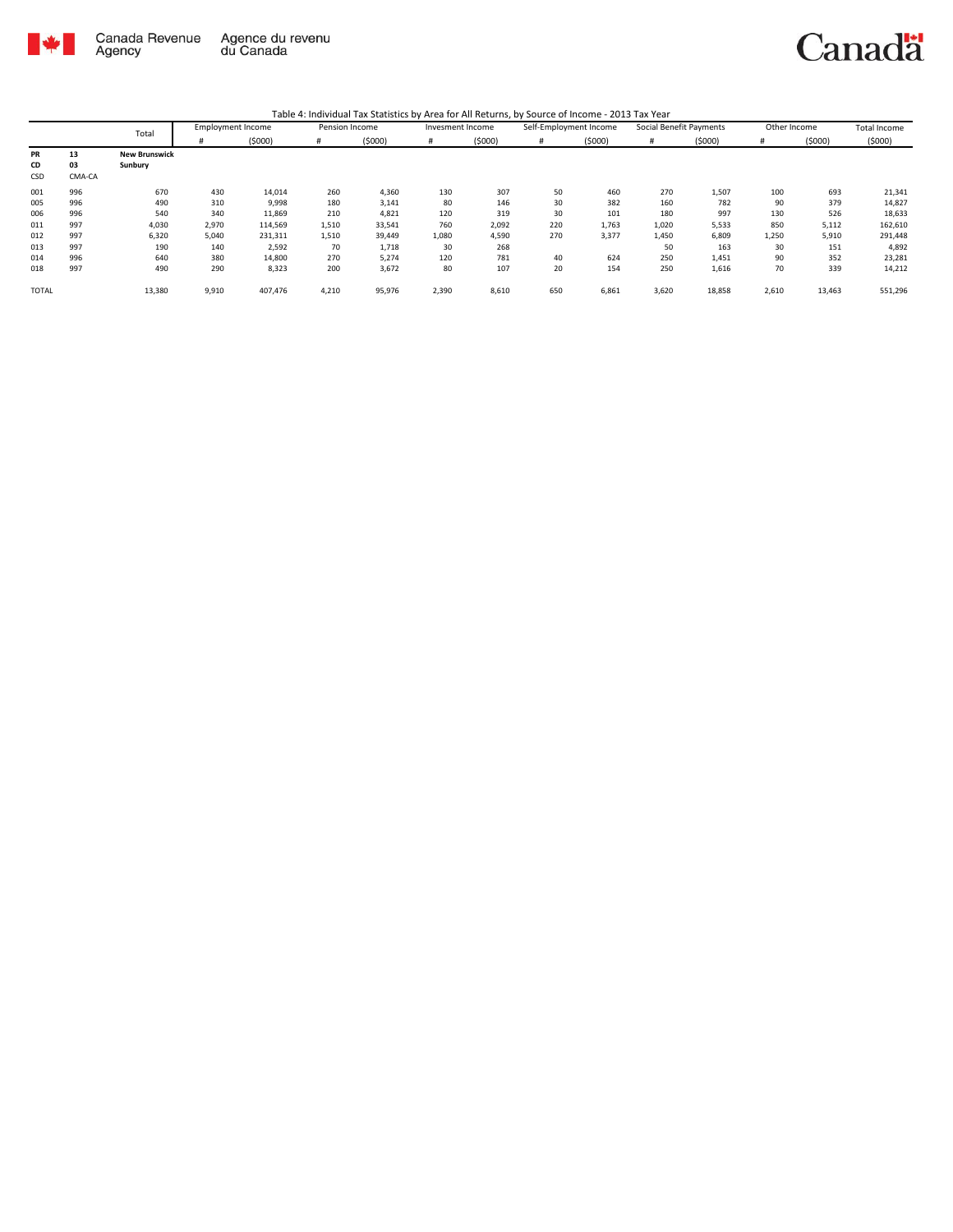

|              |        | Total                | <b>Employment Income</b> |         | Pension Income |        | Invesment Income |        | Self-Employment Income |        | Social Benefit Payments |        | Other Income |        | <b>Total Income</b> |
|--------------|--------|----------------------|--------------------------|---------|----------------|--------|------------------|--------|------------------------|--------|-------------------------|--------|--------------|--------|---------------------|
|              |        |                      | #                        | (5000)  | #              | (5000) | #                | (5000) | #                      | (5000) | #                       | (5000) | #            | (5000) | (5000)              |
| PR           | 13     | <b>New Brunswick</b> |                          |         |                |        |                  |        |                        |        |                         |        |              |        |                     |
| CD           | 03     | Sunbury              |                          |         |                |        |                  |        |                        |        |                         |        |              |        |                     |
| CSD          | CMA-CA |                      |                          |         |                |        |                  |        |                        |        |                         |        |              |        |                     |
| 001          | 996    | 670                  | 430                      | 14,014  | 260            | 4,360  | 130              | 307    | 50                     | 460    | 270                     | 1,507  | 100          | 693    | 21,341              |
| 005          | 996    | 490                  | 310                      | 9,998   | 180            | 3,141  | 80               | 146    | 30                     | 382    | 160                     | 782    | 90           | 379    | 14,827              |
| 006          | 996    | 540                  | 340                      | 11,869  | 210            | 4,821  | 120              | 319    | 30                     | 101    | 180                     | 997    | 130          | 526    | 18,633              |
| 011          | 997    | 4,030                | 2,970                    | 114,569 | 1,510          | 33,541 | 760              | 2,092  | 220                    | 1,763  | 1,020                   | 5,533  | 850          | 5,112  | 162,610             |
| 012          | 997    | 6,320                | 5,040                    | 231,311 | 1,510          | 39,449 | 1,080            | 4,590  | 270                    | 3,377  | 1,450                   | 6,809  | 1,250        | 5,910  | 291,448             |
| 013          | 997    | 190                  | 140                      | 2,592   | 70             | 1,718  | 30               | 268    |                        |        | 50                      | 163    | 30           | 151    | 4,892               |
| 014          | 996    | 640                  | 380                      | 14,800  | 270            | 5,274  | 120              | 781    | 40                     | 624    | 250                     | 1,451  | 90           | 352    | 23,281              |
| 018          | 997    | 490                  | 290                      | 8,323   | 200            | 3,672  | 80               | 107    | 20                     | 154    | 250                     | 1,616  | 70           | 339    | 14,212              |
| <b>TOTAL</b> |        | 13,380               | 9,910                    | 407,476 | 4,210          | 95,976 | 2,390            | 8,610  | 650                    | 6,861  | 3,620                   | 18,858 | 2,610        | 13,463 | 551,296             |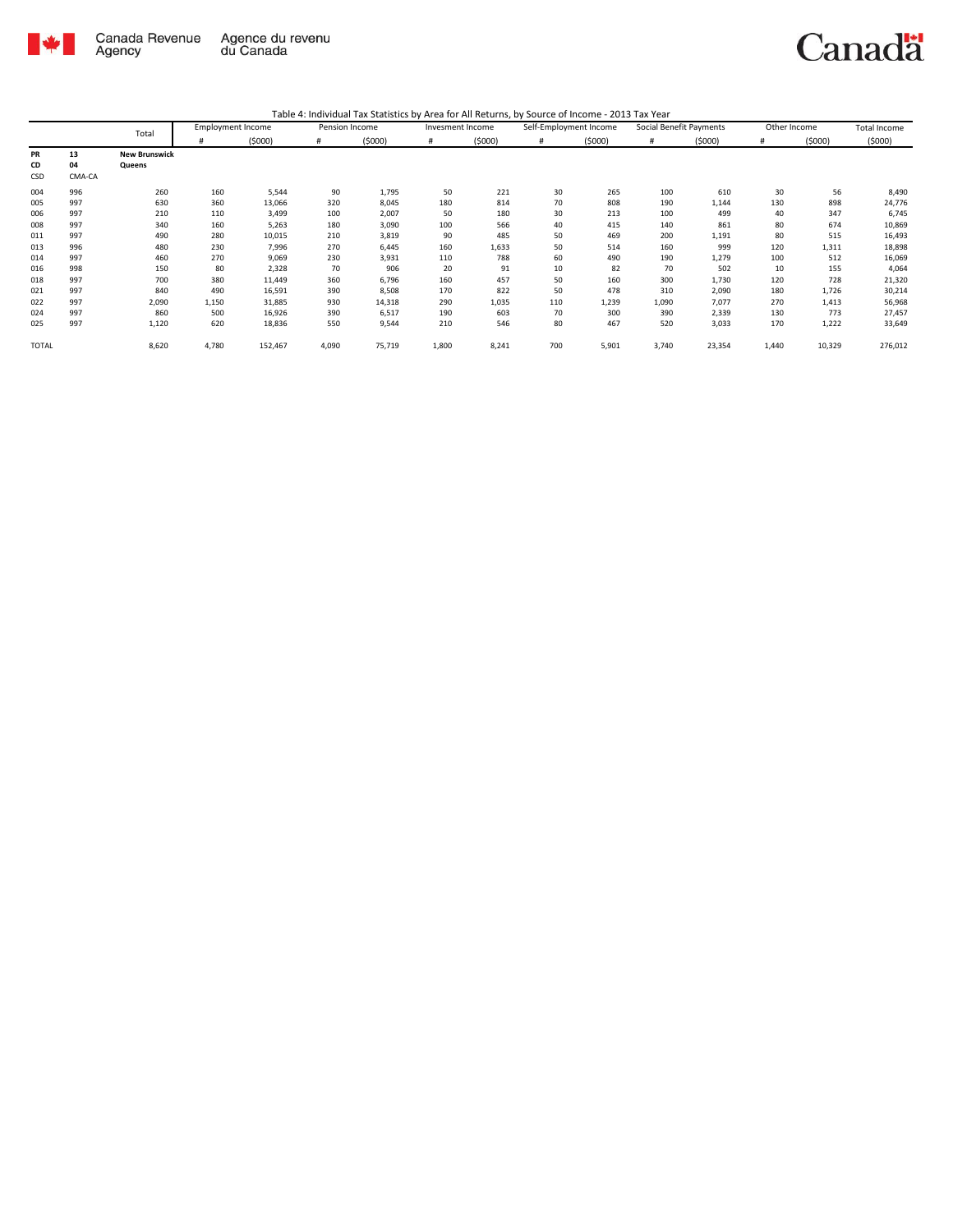

| Table 4: Individual Tax Statistics by Area for All Returns, by Source of Income - 2013 Tax Year |  |  |  |
|-------------------------------------------------------------------------------------------------|--|--|--|
|-------------------------------------------------------------------------------------------------|--|--|--|

|           |        | Total                |       | <b>Employment Income</b> | Pension Income |        | Invesment Income |        | Self-Employment Income |        | Social Benefit Payments |        | Other Income |        | <b>Total Income</b> |
|-----------|--------|----------------------|-------|--------------------------|----------------|--------|------------------|--------|------------------------|--------|-------------------------|--------|--------------|--------|---------------------|
|           |        |                      | #     | (5000)                   | #              | (5000) | #                | (5000) | #                      | (5000) | #                       | (5000) | #            | (5000) | (5000)              |
| <b>PR</b> | 13     | <b>New Brunswick</b> |       |                          |                |        |                  |        |                        |        |                         |        |              |        |                     |
| CD        | 04     | Queens               |       |                          |                |        |                  |        |                        |        |                         |        |              |        |                     |
| CSD       | CMA-CA |                      |       |                          |                |        |                  |        |                        |        |                         |        |              |        |                     |
| 004       | 996    | 260                  | 160   | 5,544                    | 90             | 1,795  | 50               | 221    | 30                     | 265    | 100                     | 610    | 30           | 56     | 8,490               |
| 005       | 997    | 630                  | 360   | 13,066                   | 320            | 8,045  | 180              | 814    | 70                     | 808    | 190                     | 1,144  | 130          | 898    | 24,776              |
| 006       | 997    | 210                  | 110   | 3,499                    | 100            | 2,007  | 50               | 180    | 30                     | 213    | 100                     | 499    | 40           | 347    | 6,745               |
| 008       | 997    | 340                  | 160   | 5,263                    | 180            | 3,090  | 100              | 566    | 40                     | 415    | 140                     | 861    | 80           | 674    | 10,869              |
| 011       | 997    | 490                  | 280   | 10,015                   | 210            | 3,819  | 90               | 485    | 50                     | 469    | 200                     | 1,191  | 80           | 515    | 16,493              |
| 013       | 996    | 480                  | 230   | 7,996                    | 270            | 6,445  | 160              | 1,633  | 50                     | 514    | 160                     | 999    | 120          | 1,311  | 18,898              |
| 014       | 997    | 460                  | 270   | 9,069                    | 230            | 3,931  | 110              | 788    | 60                     | 490    | 190                     | 1,279  | 100          | 512    | 16,069              |
| 016       | 998    | 150                  | 80    | 2,328                    | 70             | 906    | 20               | 91     | 10                     | 82     | 70                      | 502    | 10           | 155    | 4,064               |
| 018       | 997    | 700                  | 380   | 11,449                   | 360            | 6,796  | 160              | 457    | 50                     | 160    | 300                     | 1,730  | 120          | 728    | 21,320              |
| 021       | 997    | 840                  | 490   | 16,591                   | 390            | 8,508  | 170              | 822    | 50                     | 478    | 310                     | 2,090  | 180          | 1,726  | 30,214              |
| 022       | 997    | 2,090                | 1,150 | 31,885                   | 930            | 14,318 | 290              | 1,035  | 110                    | 1,239  | 1,090                   | 7,077  | 270          | 1,413  | 56,968              |
| 024       | 997    | 860                  | 500   | 16,926                   | 390            | 6,517  | 190              | 603    | 70                     | 300    | 390                     | 2,339  | 130          | 773    | 27,457              |
| 025       | 997    | 1,120                | 620   | 18,836                   | 550            | 9,544  | 210              | 546    | 80                     | 467    | 520                     | 3,033  | 170          | 1,222  | 33,649              |
| TOTAL     |        | 8,620                | 4,780 | 152,467                  | 4,090          | 75,719 | 1,800            | 8,241  | 700                    | 5,901  | 3,740                   | 23,354 | 1,440        | 10,329 | 276,012             |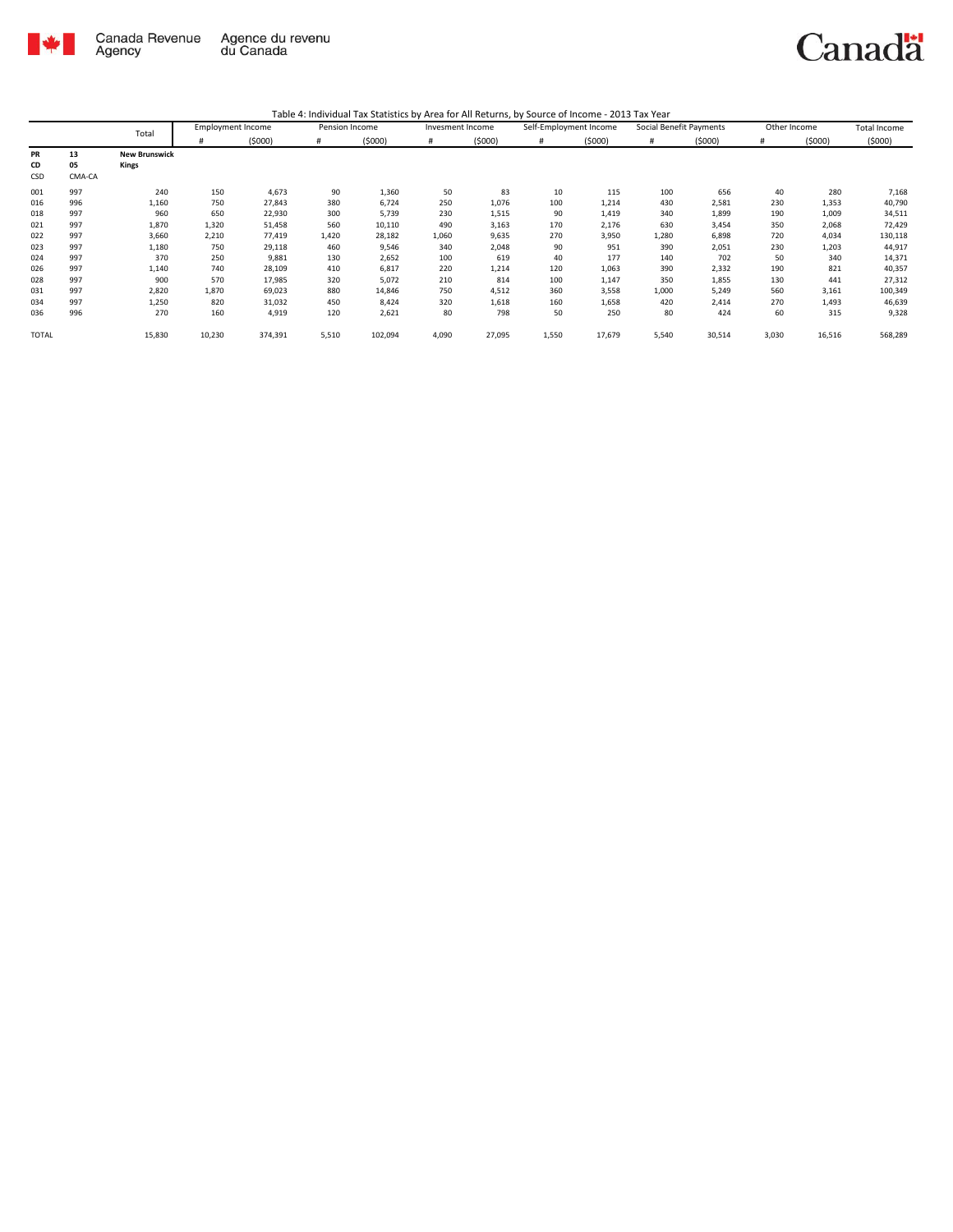

|       |        | Total                | <b>Employment Income</b> |         | Pension Income |         | Invesment Income |        | Self-Employment Income |        | Social Benefit Payments |        | Other Income |        | Total Income |
|-------|--------|----------------------|--------------------------|---------|----------------|---------|------------------|--------|------------------------|--------|-------------------------|--------|--------------|--------|--------------|
|       |        |                      | #                        | (5000)  | #              | (5000)  | #                | (5000) | #                      | (5000) | #                       | (5000) | #            | (5000) | (5000)       |
| PR    | 13     | <b>New Brunswick</b> |                          |         |                |         |                  |        |                        |        |                         |        |              |        |              |
| CD    | 05     | Kings                |                          |         |                |         |                  |        |                        |        |                         |        |              |        |              |
| CSD   | CMA-CA |                      |                          |         |                |         |                  |        |                        |        |                         |        |              |        |              |
| 001   | 997    | 240                  | 150                      | 4,673   | 90             | 1,360   | 50               | 83     | 10                     | 115    | 100                     | 656    | 40           | 280    | 7,168        |
| 016   | 996    | 1,160                | 750                      | 27,843  | 380            | 6,724   | 250              | 1,076  | 100                    | 1,214  | 430                     | 2,581  | 230          | 1,353  | 40,790       |
| 018   | 997    | 960                  | 650                      | 22,930  | 300            | 5,739   | 230              | 1,515  | 90                     | 1,419  | 340                     | 1,899  | 190          | 1,009  | 34,511       |
| 021   | 997    | 1,870                | 1,320                    | 51,458  | 560            | 10,110  | 490              | 3,163  | 170                    | 2,176  | 630                     | 3,454  | 350          | 2,068  | 72,429       |
| 022   | 997    | 3,660                | 2,210                    | 77,419  | 1,420          | 28,182  | 1,060            | 9,635  | 270                    | 3,950  | 1,280                   | 6,898  | 720          | 4,034  | 130,118      |
| 023   | 997    | 1,180                | 750                      | 29,118  | 460            | 9,546   | 340              | 2,048  | 90                     | 951    | 390                     | 2,051  | 230          | 1,203  | 44,917       |
| 024   | 997    | 370                  | 250                      | 9,881   | 130            | 2,652   | 100              | 619    | 40                     | 177    | 140                     | 702    | 50           | 340    | 14,371       |
| 026   | 997    | 1,140                | 740                      | 28,109  | 410            | 6,817   | 220              | 1,214  | 120                    | 1,063  | 390                     | 2,332  | 190          | 821    | 40,357       |
| 028   | 997    | 900                  | 570                      | 17,985  | 320            | 5,072   | 210              | 814    | 100                    | 1,147  | 350                     | 1,855  | 130          | 441    | 27,312       |
| 031   | 997    | 2,820                | 1,870                    | 69,023  | 880            | 14,846  | 750              | 4,512  | 360                    | 3,558  | 1,000                   | 5,249  | 560          | 3,161  | 100,349      |
| 034   | 997    | 1,250                | 820                      | 31,032  | 450            | 8,424   | 320              | 1,618  | 160                    | 1,658  | 420                     | 2,414  | 270          | 1,493  | 46,639       |
| 036   | 996    | 270                  | 160                      | 4,919   | 120            | 2,621   | 80               | 798    | 50                     | 250    | 80                      | 424    | 60           | 315    | 9,328        |
| TOTAL |        | 15,830               | 10,230                   | 374,391 | 5,510          | 102,094 | 4,090            | 27,095 | 1,550                  | 17,679 | 5,540                   | 30,514 | 3,030        | 16,516 | 568,289      |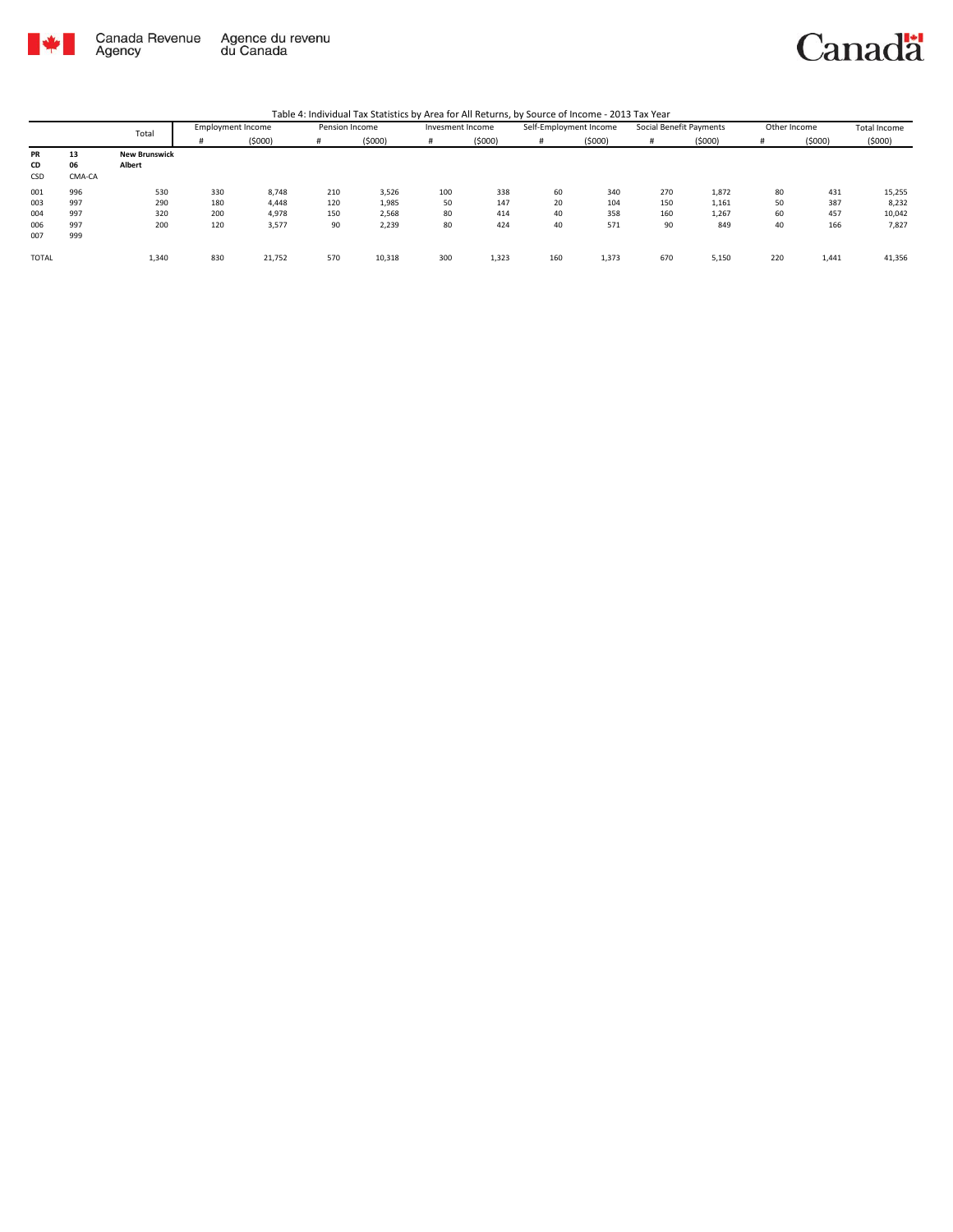

|  | Table 4: Individual Tax Statistics by Area for All Returns, by Source of Income - 2013 Tax Year |
|--|-------------------------------------------------------------------------------------------------|
|--|-------------------------------------------------------------------------------------------------|

|              | Total  |                      | <b>Employment Income</b> | Pension Income |     | Invesment Income |     | Self-Employment Income |     | Social Benefit Payments |     | Other Income |     | Total Income |        |
|--------------|--------|----------------------|--------------------------|----------------|-----|------------------|-----|------------------------|-----|-------------------------|-----|--------------|-----|--------------|--------|
|              |        |                      | #                        | (5000)         | #   | (5000)           |     | (5000)                 | #   | (5000)                  |     | (5000)       | #   | (5000)       | (5000) |
| PR           | 13     | <b>New Brunswick</b> |                          |                |     |                  |     |                        |     |                         |     |              |     |              |        |
| CD           | 06     | Albert               |                          |                |     |                  |     |                        |     |                         |     |              |     |              |        |
| CSD          | CMA-CA |                      |                          |                |     |                  |     |                        |     |                         |     |              |     |              |        |
| 001          | 996    | 530                  | 330                      | 8,748          | 210 | 3,526            | 100 | 338                    | 60  | 340                     | 270 | 1,872        | 80  | 431          | 15,255 |
| 003          | 997    | 290                  | 180                      | 4,448          | 120 | 1,985            | 50  | 147                    | 20  | 104                     | 150 | 1,161        | 50  | 387          | 8,232  |
| 004          | 997    | 320                  | 200                      | 4,978          | 150 | 2,568            | 80  | 414                    | 40  | 358                     | 160 | 1,267        | 60  | 457          | 10,042 |
| 006          | 997    | 200                  | 120                      | 3,577          | 90  | 2,239            | 80  | 424                    | 40  | 571                     | 90  | 849          | 40  | 166          | 7,827  |
| 007          | 999    |                      |                          |                |     |                  |     |                        |     |                         |     |              |     |              |        |
| <b>TOTAL</b> |        | 1,340                | 830                      | 21,752         | 570 | 10,318           | 300 | 1,323                  | 160 | 1,373                   | 670 | 5,150        | 220 | 1,441        | 41,356 |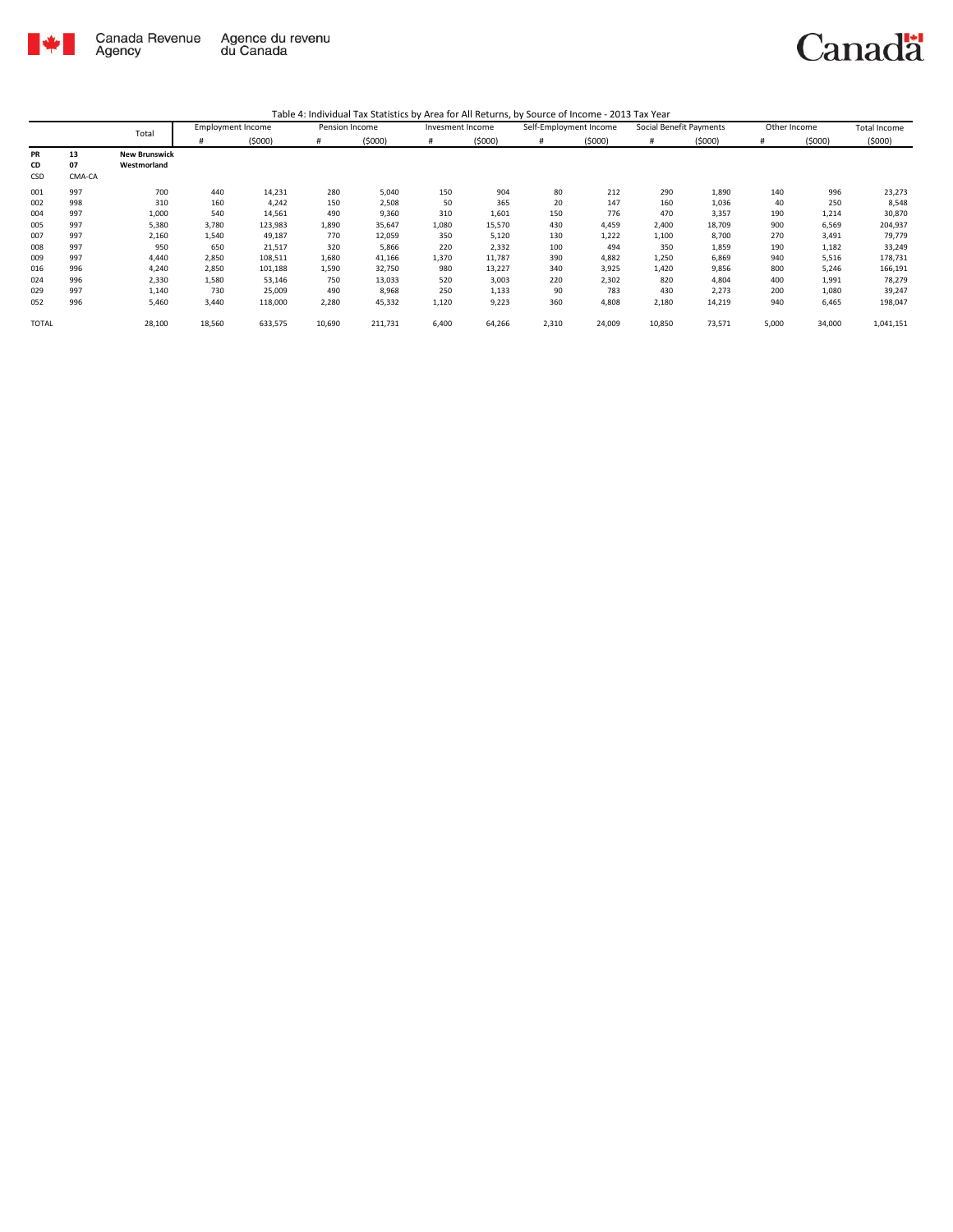

|              |        | Total                | <b>Employment Income</b> |         | Pension Income |         | Invesment Income |        | Self-Employment Income |        | Social Benefit Payments |        | Other Income |        | Total Income |
|--------------|--------|----------------------|--------------------------|---------|----------------|---------|------------------|--------|------------------------|--------|-------------------------|--------|--------------|--------|--------------|
|              |        |                      | #                        | (5000)  | #              | (5000)  | #                | (5000) | #                      | (5000) | #                       | (5000) | #            | (5000) | (5000)       |
| PR           | 13     | <b>New Brunswick</b> |                          |         |                |         |                  |        |                        |        |                         |        |              |        |              |
| CD           | 07     | Westmorland          |                          |         |                |         |                  |        |                        |        |                         |        |              |        |              |
| CSD          | CMA-CA |                      |                          |         |                |         |                  |        |                        |        |                         |        |              |        |              |
| 001          | 997    | 700                  | 440                      | 14,231  | 280            | 5,040   | 150              | 904    | 80                     | 212    | 290                     | 1,890  | 140          | 996    | 23,273       |
| 002          | 998    | 310                  | 160                      | 4,242   | 150            | 2,508   | 50               | 365    | 20                     | 147    | 160                     | 1,036  | 40           | 250    | 8,548        |
| 004          | 997    | 1,000                | 540                      | 14,561  | 490            | 9,360   | 310              | 1,601  | 150                    | 776    | 470                     | 3,357  | 190          | 1,214  | 30,870       |
| 005          | 997    | 5,380                | 3,780                    | 123,983 | 1,890          | 35,647  | 1,080            | 15,570 | 430                    | 4,459  | 2,400                   | 18,709 | 900          | 6,569  | 204,937      |
| 007          | 997    | 2,160                | 1,540                    | 49,187  | 770            | 12,059  | 350              | 5,120  | 130                    | 1,222  | 1,100                   | 8,700  | 270          | 3,491  | 79,779       |
| 008          | 997    | 950                  | 650                      | 21,517  | 320            | 5,866   | 220              | 2,332  | 100                    | 494    | 350                     | 1,859  | 190          | 1,182  | 33,249       |
| 009          | 997    | 4,440                | 2,850                    | 108,511 | 1,680          | 41,166  | 1,370            | 11,787 | 390                    | 4,882  | 1,250                   | 6,869  | 940          | 5,516  | 178,731      |
| 016          | 996    | 4,240                | 2,850                    | 101,188 | 1,590          | 32,750  | 980              | 13,227 | 340                    | 3,925  | 1,420                   | 9,856  | 800          | 5,246  | 166,191      |
| 024          | 996    | 2,330                | 1,580                    | 53,146  | 750            | 13,033  | 520              | 3,003  | 220                    | 2,302  | 820                     | 4,804  | 400          | 1,991  | 78,279       |
| 029          | 997    | 1,140                | 730                      | 25,009  | 490            | 8,968   | 250              | 1,133  | 90                     | 783    | 430                     | 2,273  | 200          | 1,080  | 39,247       |
| 052          | 996    | 5,460                | 3,440                    | 118,000 | 2,280          | 45,332  | 1,120            | 9,223  | 360                    | 4,808  | 2,180                   | 14,219 | 940          | 6,465  | 198,047      |
| <b>TOTAL</b> |        | 28,100               | 18,560                   | 633,575 | 10,690         | 211,731 | 6,400            | 64,266 | 2,310                  | 24,009 | 10,850                  | 73,571 | 5,000        | 34,000 | 1,041,151    |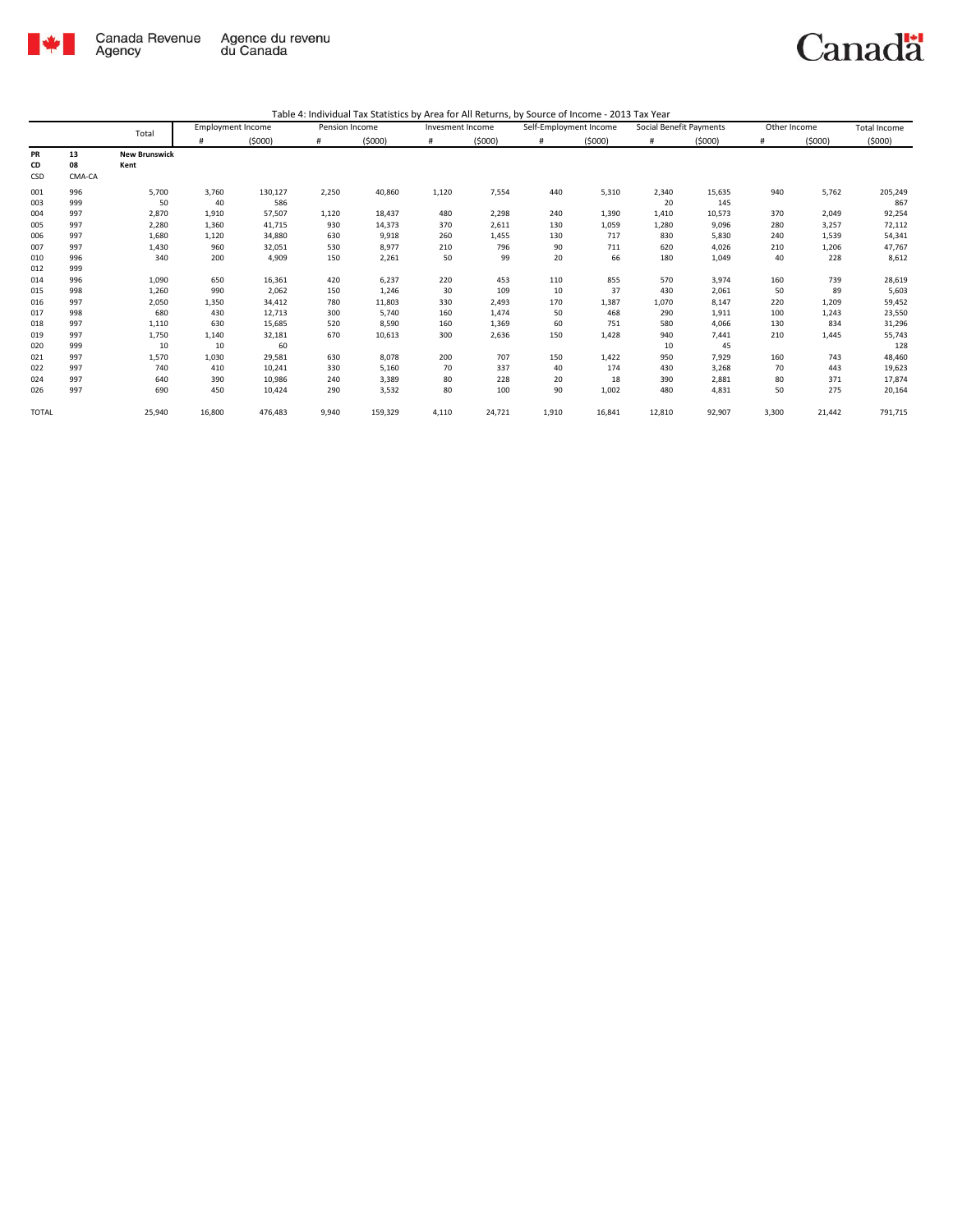

|                        |                    | Total                        | <b>Employment Income</b> |                            | Pension Income    |                         | Invesment Income |                   | Self-Employment Income |                    | Social Benefit Payments |                         | Other Income   |                   | <b>Total Income</b>        |
|------------------------|--------------------|------------------------------|--------------------------|----------------------------|-------------------|-------------------------|------------------|-------------------|------------------------|--------------------|-------------------------|-------------------------|----------------|-------------------|----------------------------|
|                        |                    |                              | #                        | (5000)                     | #                 | (5000)                  | #                | (5000)            | #                      | (5000)             | #                       | (5000)                  | #              | (5000)            | (5000)                     |
| <b>PR</b><br>CD<br>CSD | 13<br>08<br>CMA-CA | <b>New Brunswick</b><br>Kent |                          |                            |                   |                         |                  |                   |                        |                    |                         |                         |                |                   |                            |
| 001<br>003             | 996<br>999         | 5,700<br>50                  | 3,760<br>40              | 130,127<br>586             | 2,250             | 40,860                  | 1,120            | 7,554             | 440                    | 5,310              | 2,340<br>20             | 15,635<br>145           | 940            | 5,762             | 205,249<br>867             |
| 004<br>005             | 997<br>997         | 2,870<br>2,280               | 1,910<br>1,360           | 57,507<br>41,715           | 1,120<br>930      | 18,437<br>14,373        | 480<br>370       | 2,298<br>2,611    | 240<br>130             | 1,390<br>1,059     | 1,410<br>1,280          | 10,573<br>9,096         | 370<br>280     | 2,049<br>3,257    | 92,254<br>72,112           |
| 006<br>007             | 997<br>997         | 1,680<br>1,430               | 1,120<br>960             | 34,880<br>32,051           | 630<br>530        | 9,918<br>8,977          | 260<br>210       | 1,455<br>796      | 130<br>90              | 717<br>711         | 830<br>620              | 5,830<br>4,026          | 240<br>210     | 1,539<br>1,206    | 54,341<br>47,767           |
| 010<br>012             | 996<br>999         | 340                          | 200                      | 4,909                      | 150               | 2,261                   | 50               | 99                | 20                     | 66                 | 180                     | 1,049                   | 40             | 228               | 8,612                      |
| 014<br>015             | 996<br>998         | 1,090<br>1,260               | 650<br>990               | 16,361<br>2,062            | 420<br>150        | 6,237<br>1,246          | 220<br>30        | 453<br>109        | 110<br>10              | 855<br>37          | 570<br>430              | 3,974<br>2,061          | 160<br>50      | 739<br>89         | 28,619<br>5,603            |
| 016<br>017             | 997<br>998         | 2,050<br>680                 | 1,350<br>430             | 34,412<br>12,713           | 780<br>300        | 11,803<br>5,740         | 330<br>160       | 2,493<br>1,474    | 170<br>50              | 1,387<br>468       | 1,070<br>290            | 8,147<br>1,911          | 220<br>100     | 1,209<br>1,243    | 59,452<br>23,550           |
| 018<br>019             | 997<br>997         | 1,110<br>1,750               | 630<br>1,140             | 15,685<br>32,181           | 520<br>670        | 8,590<br>10,613         | 160<br>300       | 1,369<br>2,636    | 60<br>150              | 751<br>1,428       | 580<br>940              | 4,066<br>7,441          | 130<br>210     | 834<br>1,445      | 31,296<br>55,743           |
| 020<br>021             | 999<br>997         | 10<br>1,570                  | 10<br>1,030              | 60<br>29,581               | 630               | 8,078                   | 200              | 707               | 150                    | 1,422              | 10<br>950               | 45<br>7.929             | 160            | 743               | 128<br>48,460              |
| 022<br>024<br>026      | 997<br>997<br>997  | 740<br>640<br>690            | 410<br>390<br>450        | 10,241<br>10,986<br>10,424 | 330<br>240<br>290 | 5,160<br>3,389<br>3,532 | 70<br>80<br>80   | 337<br>228<br>100 | 40<br>20<br>90         | 174<br>18<br>1,002 | 430<br>390<br>480       | 3,268<br>2,881<br>4,831 | 70<br>80<br>50 | 443<br>371<br>275 | 19,623<br>17,874<br>20,164 |
| <b>TOTAL</b>           |                    | 25,940                       | 16,800                   | 476,483                    | 9,940             | 159,329                 | 4,110            | 24,721            | 1,910                  | 16,841             | 12,810                  | 92,907                  | 3,300          | 21,442            | 791,715                    |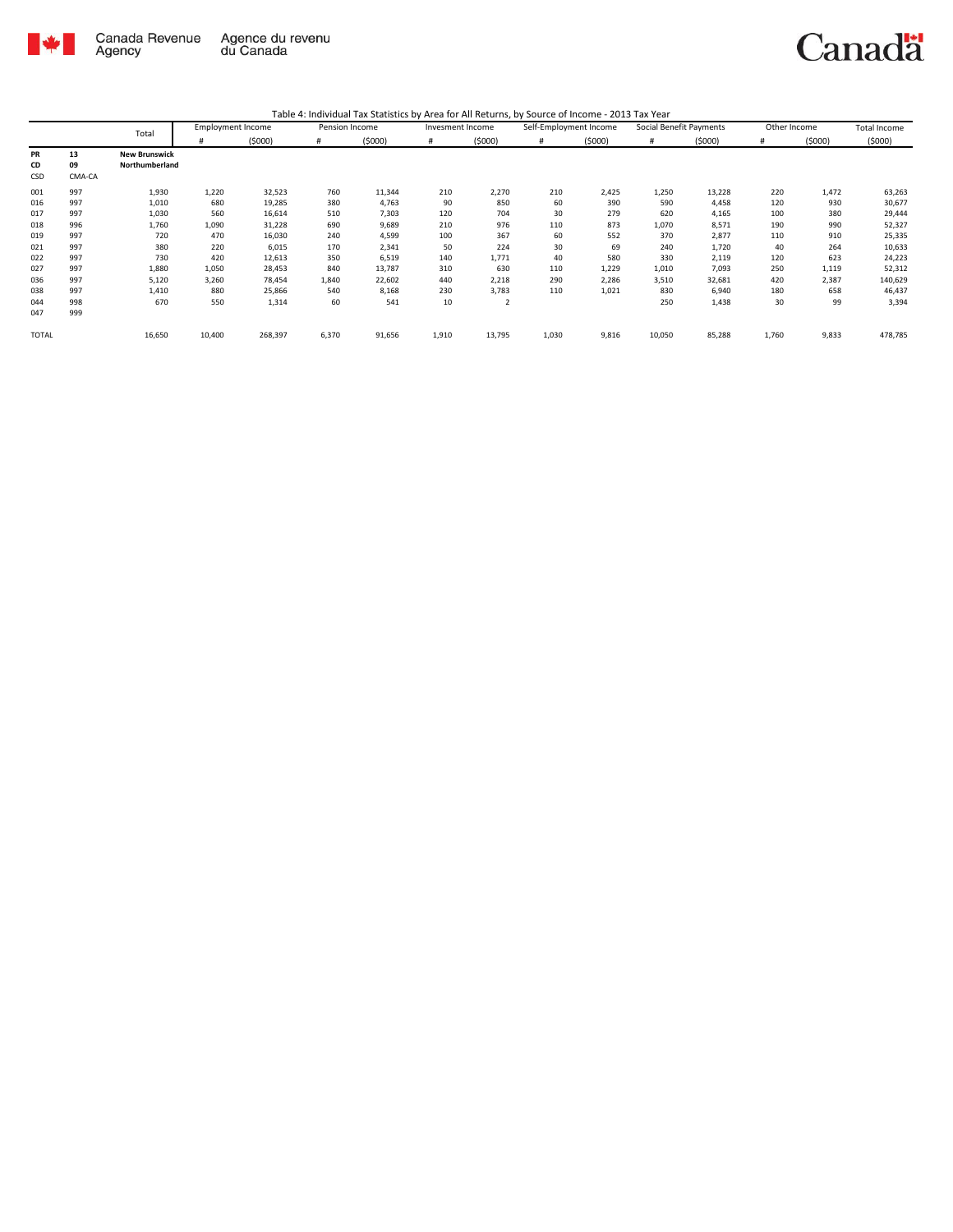

| Table 4: Individual Tax Statistics by Area for All Returns, by Source of Income - 2013 Tax Year |  |  |
|-------------------------------------------------------------------------------------------------|--|--|
|                                                                                                 |  |  |

|       |        | Total                | <b>Employment Income</b> |         | Pension Income |        | Invesment Income |        | Self-Employment Income |        | Social Benefit Payments |        | Other Income |        | <b>Total Income</b> |
|-------|--------|----------------------|--------------------------|---------|----------------|--------|------------------|--------|------------------------|--------|-------------------------|--------|--------------|--------|---------------------|
|       |        |                      | #                        | (5000)  | $\#$           | (5000) | #                | (5000) | #                      | (5000) | #                       | (5000) | #            | (5000) | (5000)              |
| PR    | 13     | <b>New Brunswick</b> |                          |         |                |        |                  |        |                        |        |                         |        |              |        |                     |
| CD    | 09     | Northumberland       |                          |         |                |        |                  |        |                        |        |                         |        |              |        |                     |
| CSD   | CMA-CA |                      |                          |         |                |        |                  |        |                        |        |                         |        |              |        |                     |
| 001   | 997    | 1,930                | 1,220                    | 32,523  | 760            | 11,344 | 210              | 2,270  | 210                    | 2,425  | 1,250                   | 13,228 | 220          | 1,472  | 63,263              |
| 016   | 997    | 1,010                | 680                      | 19,285  | 380            | 4,763  | 90               | 850    | 60                     | 390    | 590                     | 4,458  | 120          | 930    | 30,677              |
| 017   | 997    | 1,030                | 560                      | 16,614  | 510            | 7,303  | 120              | 704    | 30                     | 279    | 620                     | 4,165  | 100          | 380    | 29,444              |
| 018   | 996    | 1,760                | 1,090                    | 31,228  | 690            | 9,689  | 210              | 976    | 110                    | 873    | 1,070                   | 8,571  | 190          | 990    | 52,327              |
| 019   | 997    | 720                  | 470                      | 16,030  | 240            | 4,599  | 100              | 367    | 60                     | 552    | 370                     | 2,877  | 110          | 910    | 25,335              |
| 021   | 997    | 380                  | 220                      | 6,015   | 170            | 2,341  | 50               | 224    | 30                     | 69     | 240                     | 1,720  | 40           | 264    | 10,633              |
| 022   | 997    | 730                  | 420                      | 12,613  | 350            | 6,519  | 140              | 1,771  | 40                     | 580    | 330                     | 2,119  | 120          | 623    | 24,223              |
| 027   | 997    | 1,880                | 1,050                    | 28,453  | 840            | 13,787 | 310              | 630    | 110                    | 1,229  | 1,010                   | 7,093  | 250          | 1,119  | 52,312              |
| 036   | 997    | 5,120                | 3,260                    | 78,454  | 1,840          | 22,602 | 440              | 2,218  | 290                    | 2,286  | 3,510                   | 32,681 | 420          | 2,387  | 140,629             |
| 038   | 997    | 1,410                | 880                      | 25,866  | 540            | 8,168  | 230              | 3,783  | 110                    | 1,021  | 830                     | 6,940  | 180          | 658    | 46,437              |
| 044   | 998    | 670                  | 550                      | 1,314   | 60             | 541    | 10               | 2      |                        |        | 250                     | 1,438  | 30           | 99     | 3,394               |
| 047   | 999    |                      |                          |         |                |        |                  |        |                        |        |                         |        |              |        |                     |
| TOTAL |        | 16,650               | 10,400                   | 268,397 | 6,370          | 91,656 | 1,910            | 13,795 | 1,030                  | 9,816  | 10,050                  | 85,288 | 1,760        | 9,833  | 478,785             |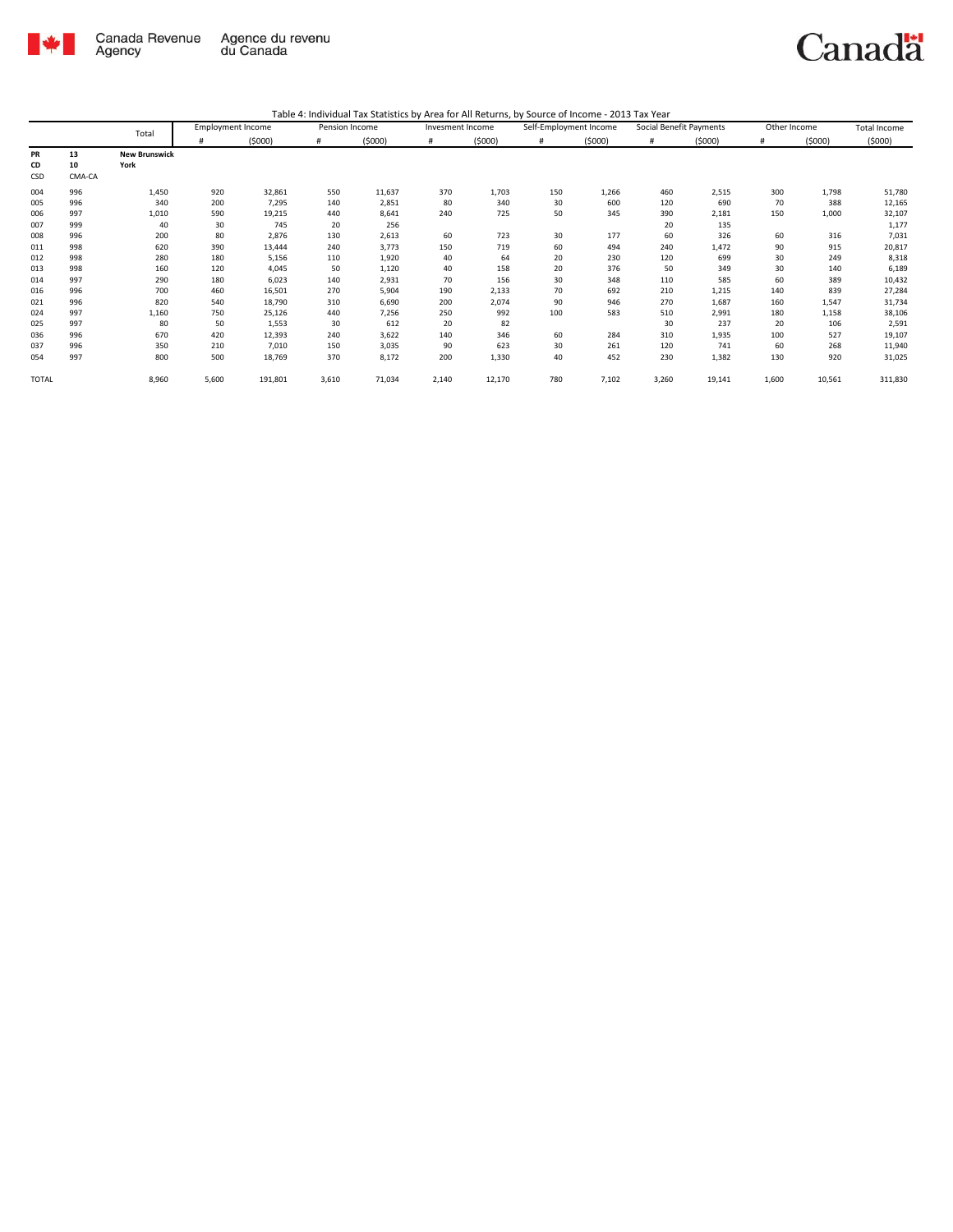

|              |        |                      | <b>Employment Income</b> |         | Pension Income |        | Invesment Income |        | Self-Employment Income |        | Social Benefit Payments |        | Other Income |        | Total Income |
|--------------|--------|----------------------|--------------------------|---------|----------------|--------|------------------|--------|------------------------|--------|-------------------------|--------|--------------|--------|--------------|
|              |        | Total                |                          | (5000)  | #              | (5000) | #                | (5000) | #                      | (5000) | #                       | (5000) | #            | (5000) | (5000)       |
| PR           | 13     | <b>New Brunswick</b> |                          |         |                |        |                  |        |                        |        |                         |        |              |        |              |
| CD           | 10     | York                 |                          |         |                |        |                  |        |                        |        |                         |        |              |        |              |
| CSD          | CMA-CA |                      |                          |         |                |        |                  |        |                        |        |                         |        |              |        |              |
| 004          | 996    | 1,450                | 920                      | 32,861  | 550            | 11,637 | 370              | 1,703  | 150                    | 1,266  | 460                     | 2,515  | 300          | 1,798  | 51,780       |
| 005          | 996    | 340                  | 200                      | 7,295   | 140            | 2,851  | 80               | 340    | 30                     | 600    | 120                     | 690    | 70           | 388    | 12,165       |
| 006          | 997    | 1,010                | 590                      | 19,215  | 440            | 8,641  | 240              | 725    | 50                     | 345    | 390                     | 2,181  | 150          | 1,000  | 32,107       |
| 007          | 999    | 40                   | 30                       | 745     | 20             | 256    |                  |        |                        |        | 20                      | 135    |              |        | 1,177        |
| 008          | 996    | 200                  | 80                       | 2,876   | 130            | 2,613  | 60               | 723    | 30                     | 177    | 60                      | 326    | 60           | 316    | 7,031        |
| 011          | 998    | 620                  | 390                      | 13,444  | 240            | 3,773  | 150              | 719    | 60                     | 494    | 240                     | 1,472  | 90           | 915    | 20,817       |
| 012          | 998    | 280                  | 180                      | 5,156   | 110            | 1,920  | 40               | 64     | 20                     | 230    | 120                     | 699    | 30           | 249    | 8,318        |
| 013          | 998    | 160                  | 120                      | 4,045   | 50             | 1,120  | 40               | 158    | 20                     | 376    | 50                      | 349    | 30           | 140    | 6,189        |
| 014          | 997    | 290                  | 180                      | 6,023   | 140            | 2,931  | 70               | 156    | 30                     | 348    | 110                     | 585    | 60           | 389    | 10,432       |
| 016          | 996    | 700                  | 460                      | 16,501  | 270            | 5,904  | 190              | 2,133  | 70                     | 692    | 210                     | 1,215  | 140          | 839    | 27,284       |
| 021          | 996    | 820                  | 540                      | 18,790  | 310            | 6,690  | 200              | 2,074  | 90                     | 946    | 270                     | 1,687  | 160          | 1,547  | 31,734       |
| 024          | 997    | 1,160                | 750                      | 25,126  | 440            | 7,256  | 250              | 992    | 100                    | 583    | 510                     | 2,991  | 180          | 1,158  | 38,106       |
| 025          | 997    | 80                   | 50                       | 1,553   | 30             | 612    | 20               | 82     |                        |        | 30                      | 237    | 20           | 106    | 2,591        |
| 036          | 996    | 670                  | 420                      | 12,393  | 240            | 3,622  | 140              | 346    | 60                     | 284    | 310                     | 1,935  | 100          | 527    | 19,107       |
| 037          | 996    | 350                  | 210                      | 7,010   | 150            | 3,035  | 90               | 623    | 30                     | 261    | 120                     | 741    | 60           | 268    | 11,940       |
| 054          | 997    | 800                  | 500                      | 18,769  | 370            | 8,172  | 200              | 1,330  | 40                     | 452    | 230                     | 1,382  | 130          | 920    | 31,025       |
| <b>TOTAL</b> |        | 8,960                | 5,600                    | 191,801 | 3,610          | 71,034 | 2,140            | 12,170 | 780                    | 7,102  | 3,260                   | 19,141 | 1,600        | 10,561 | 311,830      |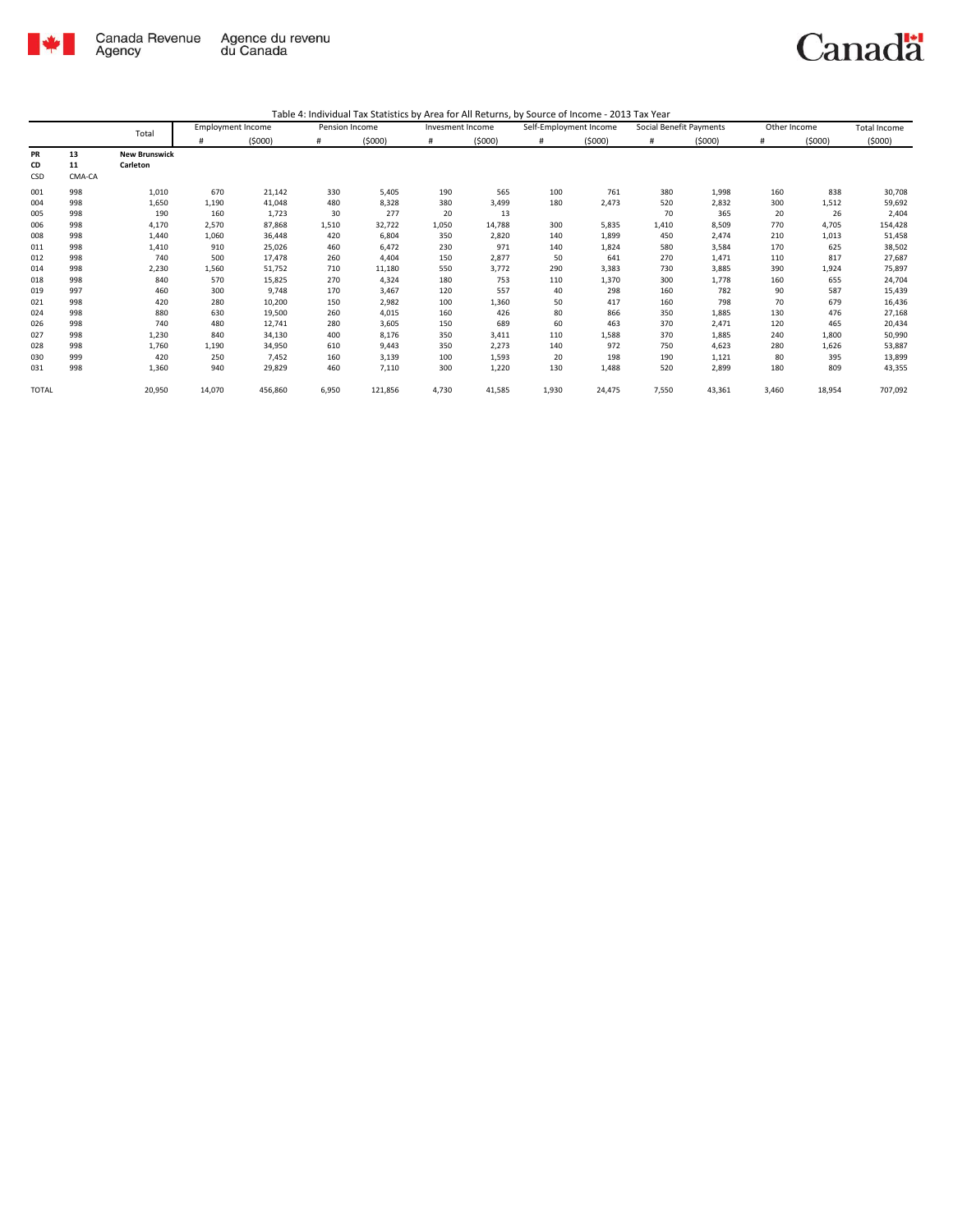

|              |        | Total                | <b>Employment Income</b> |         | Pension Income |         | Invesment Income |        | Self-Employment Income |        | Social Benefit Payments |        | Other Income |        | <b>Total Income</b> |
|--------------|--------|----------------------|--------------------------|---------|----------------|---------|------------------|--------|------------------------|--------|-------------------------|--------|--------------|--------|---------------------|
|              |        |                      | #                        | (5000)  | #              | (5000)  | #                | (5000) | #                      | (5000) | #                       | (5000) | #            | (5000) | (5000)              |
| PR           | 13     | <b>New Brunswick</b> |                          |         |                |         |                  |        |                        |        |                         |        |              |        |                     |
| CD           | 11     | Carleton             |                          |         |                |         |                  |        |                        |        |                         |        |              |        |                     |
| CSD          | CMA-CA |                      |                          |         |                |         |                  |        |                        |        |                         |        |              |        |                     |
| 001          | 998    | 1,010                | 670                      | 21,142  | 330            | 5,405   | 190              | 565    | 100                    | 761    | 380                     | 1,998  | 160          | 838    | 30,708              |
| 004          | 998    | 1,650                | 1,190                    | 41,048  | 480            | 8,328   | 380              | 3,499  | 180                    | 2,473  | 520                     | 2,832  | 300          | 1,512  | 59,692              |
| 005          | 998    | 190                  | 160                      | 1,723   | 30             | 277     | 20               | 13     |                        |        | 70                      | 365    | 20           | 26     | 2,404               |
| 006          | 998    | 4,170                | 2,570                    | 87,868  | 1,510          | 32,722  | 1,050            | 14,788 | 300                    | 5,835  | 1,410                   | 8,509  | 770          | 4,705  | 154,428             |
| 008          | 998    | 1,440                | 1,060                    | 36,448  | 420            | 6,804   | 350              | 2,820  | 140                    | 1,899  | 450                     | 2,474  | 210          | 1,013  | 51,458              |
| 011          | 998    | 1,410                | 910                      | 25,026  | 460            | 6,472   | 230              | 971    | 140                    | 1,824  | 580                     | 3,584  | 170          | 625    | 38,502              |
| 012          | 998    | 740                  | 500                      | 17,478  | 260            | 4,404   | 150              | 2,877  | 50                     | 641    | 270                     | 1,471  | 110          | 817    | 27,687              |
| 014          | 998    | 2,230                | 1,560                    | 51,752  | 710            | 11,180  | 550              | 3,772  | 290                    | 3,383  | 730                     | 3,885  | 390          | 1,924  | 75,897              |
| 018          | 998    | 840                  | 570                      | 15,825  | 270            | 4,324   | 180              | 753    | 110                    | 1,370  | 300                     | 1,778  | 160          | 655    | 24,704              |
| 019          | 997    | 460                  | 300                      | 9,748   | 170            | 3,467   | 120              | 557    | 40                     | 298    | 160                     | 782    | 90           | 587    | 15,439              |
| 021          | 998    | 420                  | 280                      | 10,200  | 150            | 2,982   | 100              | 1,360  | 50                     | 417    | 160                     | 798    | 70           | 679    | 16,436              |
| 024          | 998    | 880                  | 630                      | 19,500  | 260            | 4,015   | 160              | 426    | 80                     | 866    | 350                     | 1,885  | 130          | 476    | 27,168              |
| 026          | 998    | 740                  | 480                      | 12,741  | 280            | 3,605   | 150              | 689    | 60                     | 463    | 370                     | 2,471  | 120          | 465    | 20,434              |
| 027          | 998    | 1,230                | 840                      | 34,130  | 400            | 8,176   | 350              | 3,411  | 110                    | 1,588  | 370                     | 1,885  | 240          | 1,800  | 50,990              |
| 028          | 998    | 1,760                | 1,190                    | 34,950  | 610            | 9,443   | 350              | 2,273  | 140                    | 972    | 750                     | 4,623  | 280          | 1,626  | 53,887              |
| 030          | 999    | 420                  | 250                      | 7,452   | 160            | 3,139   | 100              | 1,593  | 20                     | 198    | 190                     | 1,121  | 80           | 395    | 13,899              |
| 031          | 998    | 1,360                | 940                      | 29,829  | 460            | 7,110   | 300              | 1,220  | 130                    | 1,488  | 520                     | 2,899  | 180          | 809    | 43,355              |
| <b>TOTAL</b> |        | 20,950               | 14,070                   | 456,860 | 6,950          | 121,856 | 4,730            | 41,585 | 1,930                  | 24,475 | 7,550                   | 43,361 | 3,460        | 18,954 | 707,092             |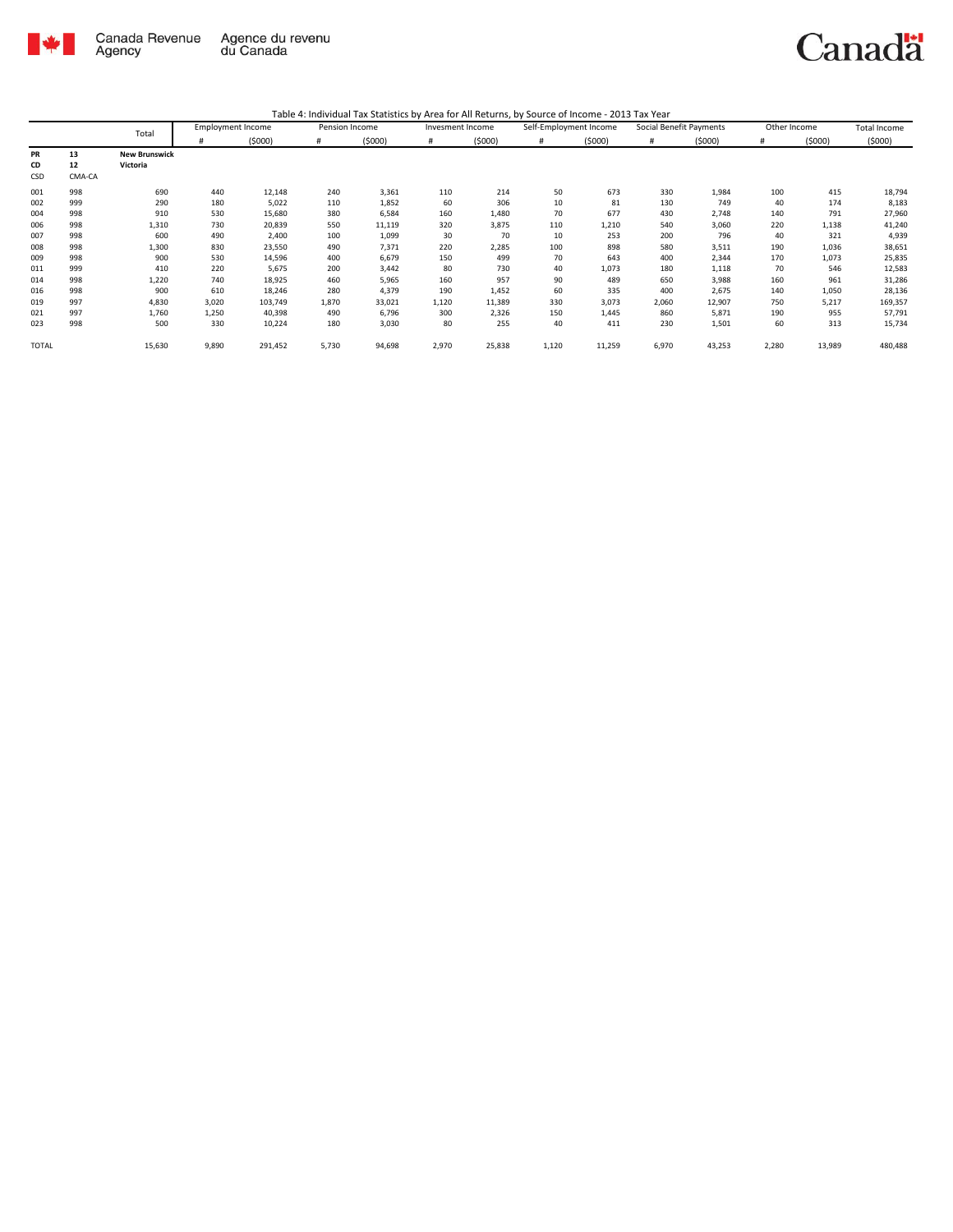

| Table 4: Individual Tax Statistics by Area for All Returns, by Source of Income - 2013 Tax Year |  |  |
|-------------------------------------------------------------------------------------------------|--|--|
|                                                                                                 |  |  |

|              |        | Total                | <b>Employment Income</b> |         | Pension Income |        | Invesment Income |        | Self-Employment Income |        | Social Benefit Payments |        | Other Income |        | Total Income |
|--------------|--------|----------------------|--------------------------|---------|----------------|--------|------------------|--------|------------------------|--------|-------------------------|--------|--------------|--------|--------------|
|              |        |                      | #                        | (5000)  | #              | (5000) |                  | (5000) | #                      | (5000) | #                       | (5000) |              | (5000) | (5000)       |
| PR           | 13     | <b>New Brunswick</b> |                          |         |                |        |                  |        |                        |        |                         |        |              |        |              |
| CD           | 12     | Victoria             |                          |         |                |        |                  |        |                        |        |                         |        |              |        |              |
| CSD          | CMA-CA |                      |                          |         |                |        |                  |        |                        |        |                         |        |              |        |              |
| 001          | 998    | 690                  | 440                      | 12,148  | 240            | 3,361  | 110              | 214    | 50                     | 673    | 330                     | 1,984  | 100          | 415    | 18,794       |
| 002          | 999    | 290                  | 180                      | 5,022   | 110            | 1,852  | 60               | 306    | 10                     | 81     | 130                     | 749    | 40           | 174    | 8,183        |
| 004          | 998    | 910                  | 530                      | 15,680  | 380            | 6,584  | 160              | 1,480  | 70                     | 677    | 430                     | 2,748  | 140          | 791    | 27,960       |
| 006          | 998    | 1,310                | 730                      | 20,839  | 550            | 11,119 | 320              | 3,875  | 110                    | 1,210  | 540                     | 3,060  | 220          | 1,138  | 41,240       |
| 007          | 998    | 600                  | 490                      | 2,400   | 100            | 1,099  | 30               | 70     | 10                     | 253    | 200                     | 796    | 40           | 321    | 4,939        |
| 008          | 998    | 1,300                | 830                      | 23,550  | 490            | 7,371  | 220              | 2,285  | 100                    | 898    | 580                     | 3,511  | 190          | 1,036  | 38,651       |
| 009          | 998    | 900                  | 530                      | 14,596  | 400            | 6,679  | 150              | 499    | 70                     | 643    | 400                     | 2,344  | 170          | 1,073  | 25,835       |
| 011          | 999    | 410                  | 220                      | 5,675   | 200            | 3,442  | 80               | 730    | 40                     | 1,073  | 180                     | 1,118  | 70           | 546    | 12,583       |
| 014          | 998    | 1,220                | 740                      | 18,925  | 460            | 5,965  | 160              | 957    | 90                     | 489    | 650                     | 3,988  | 160          | 961    | 31,286       |
| 016          | 998    | 900                  | 610                      | 18,246  | 280            | 4,379  | 190              | 1,452  | 60                     | 335    | 400                     | 2,675  | 140          | 1,050  | 28,136       |
| 019          | 997    | 4,830                | 3,020                    | 103,749 | 1,870          | 33,021 | 1,120            | 11,389 | 330                    | 3,073  | 2,060                   | 12,907 | 750          | 5,217  | 169,357      |
| 021          | 997    | 1,760                | 1,250                    | 40,398  | 490            | 6,796  | 300              | 2,326  | 150                    | 1,445  | 860                     | 5,871  | 190          | 955    | 57,791       |
| 023          | 998    | 500                  | 330                      | 10,224  | 180            | 3,030  | 80               | 255    | 40                     | 411    | 230                     | 1,501  | 60           | 313    | 15,734       |
| <b>TOTAL</b> |        | 15,630               | 9,890                    | 291,452 | 5,730          | 94,698 | 2,970            | 25,838 | 1,120                  | 11,259 | 6,970                   | 43,253 | 2,280        | 13,989 | 480,488      |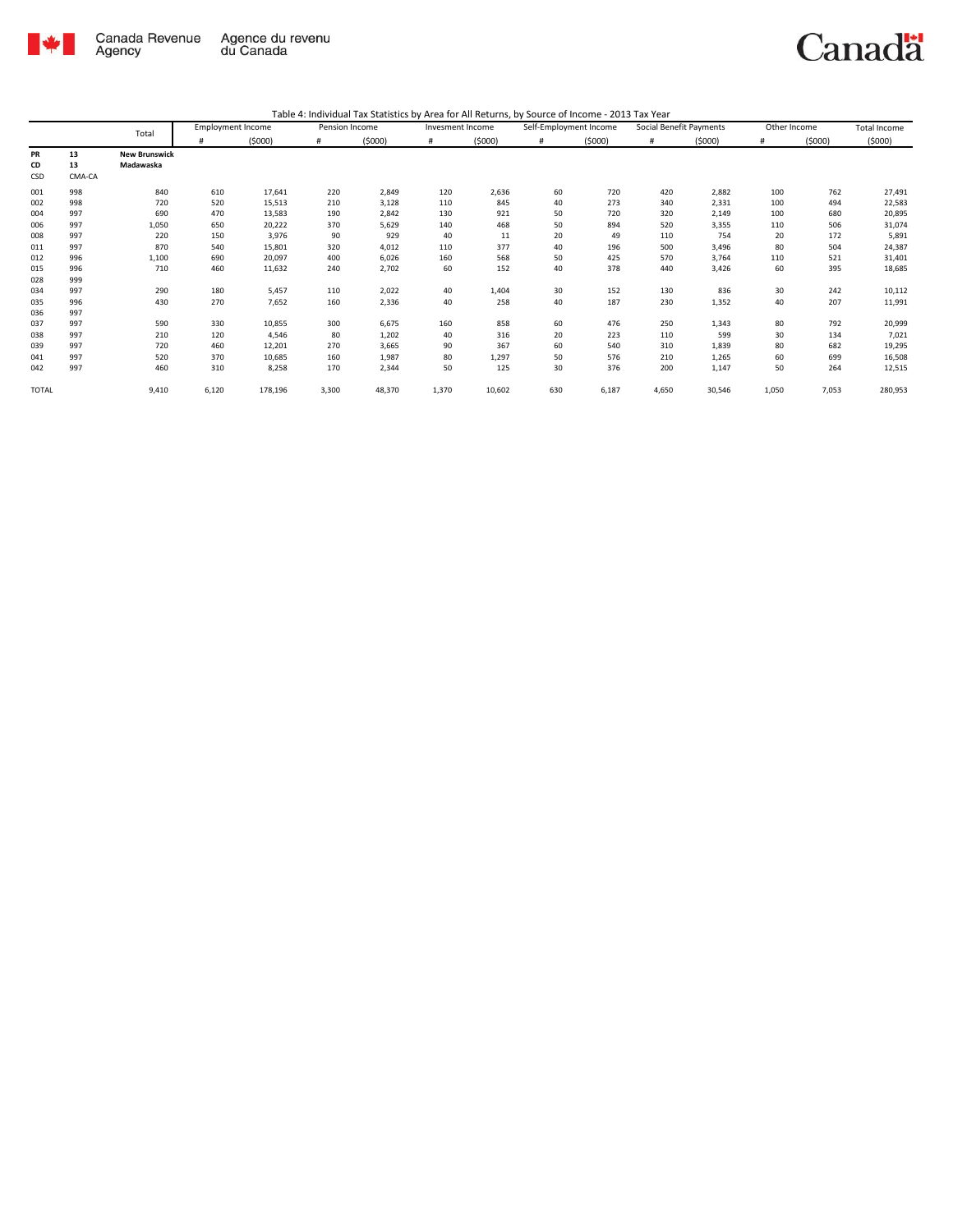

|              |        | Total                | <b>Employment Income</b> |         | Pension Income |        | Invesment Income |        | Self-Employment Income |        | Social Benefit Payments |        | Other Income |        | Total Income |
|--------------|--------|----------------------|--------------------------|---------|----------------|--------|------------------|--------|------------------------|--------|-------------------------|--------|--------------|--------|--------------|
|              |        |                      | #                        | (5000)  | #              | (5000) | #                | (5000) | #                      | (5000) | #                       | (5000) | #            | (5000) | (5000)       |
| PR           | 13     | <b>New Brunswick</b> |                          |         |                |        |                  |        |                        |        |                         |        |              |        |              |
| CD           | 13     | Madawaska            |                          |         |                |        |                  |        |                        |        |                         |        |              |        |              |
| CSD          | CMA-CA |                      |                          |         |                |        |                  |        |                        |        |                         |        |              |        |              |
| 001          | 998    | 840                  | 610                      | 17,641  | 220            | 2,849  | 120              | 2,636  | 60                     | 720    | 420                     | 2,882  | 100          | 762    | 27,491       |
| 002          | 998    | 720                  | 520                      | 15,513  | 210            | 3,128  | 110              | 845    | 40                     | 273    | 340                     | 2,331  | 100          | 494    | 22,583       |
| 004          | 997    | 690                  | 470                      | 13,583  | 190            | 2,842  | 130              | 921    | 50                     | 720    | 320                     | 2,149  | 100          | 680    | 20,895       |
| 006          | 997    | 1,050                | 650                      | 20,222  | 370            | 5,629  | 140              | 468    | 50                     | 894    | 520                     | 3,355  | 110          | 506    | 31,074       |
| 008          | 997    | 220                  | 150                      | 3,976   | 90             | 929    | 40               | 11     | 20                     | 49     | 110                     | 754    | 20           | 172    | 5,891        |
| 011          | 997    | 870                  | 540                      | 15,801  | 320            | 4,012  | 110              | 377    | 40                     | 196    | 500                     | 3,496  | 80           | 504    | 24,387       |
| 012          | 996    | 1,100                | 690                      | 20,097  | 400            | 6,026  | 160              | 568    | 50                     | 425    | 570                     | 3,764  | 110          | 521    | 31,401       |
| 015          | 996    | 710                  | 460                      | 11,632  | 240            | 2,702  | 60               | 152    | 40                     | 378    | 440                     | 3,426  | 60           | 395    | 18,685       |
| 028          | 999    |                      |                          |         |                |        |                  |        |                        |        |                         |        |              |        |              |
| 034          | 997    | 290                  | 180                      | 5,457   | 110            | 2,022  | 40               | 1,404  | 30                     | 152    | 130                     | 836    | 30           | 242    | 10,112       |
| 035          | 996    | 430                  | 270                      | 7,652   | 160            | 2,336  | 40               | 258    | 40                     | 187    | 230                     | 1,352  | 40           | 207    | 11,991       |
| 036          | 997    |                      |                          |         |                |        |                  |        |                        |        |                         |        |              |        |              |
| 037          | 997    | 590                  | 330                      | 10,855  | 300            | 6,675  | 160              | 858    | 60                     | 476    | 250                     | 1,343  | 80           | 792    | 20,999       |
| 038          | 997    | 210                  | 120                      | 4,546   | 80             | 1,202  | 40               | 316    | 20                     | 223    | 110                     | 599    | 30           | 134    | 7,021        |
| 039          | 997    | 720                  | 460                      | 12,201  | 270            | 3,665  | 90               | 367    | 60                     | 540    | 310                     | 1,839  | 80           | 682    | 19,295       |
| 041          | 997    | 520                  | 370                      | 10,685  | 160            | 1,987  | 80               | 1,297  | 50                     | 576    | 210                     | 1,265  | 60           | 699    | 16,508       |
| 042          | 997    | 460                  | 310                      | 8,258   | 170            | 2,344  | 50               | 125    | 30                     | 376    | 200                     | 1,147  | 50           | 264    | 12,515       |
| <b>TOTAL</b> |        | 9,410                | 6,120                    | 178,196 | 3,300          | 48,370 | 1,370            | 10,602 | 630                    | 6,187  | 4,650                   | 30,546 | 1,050        | 7,053  | 280,953      |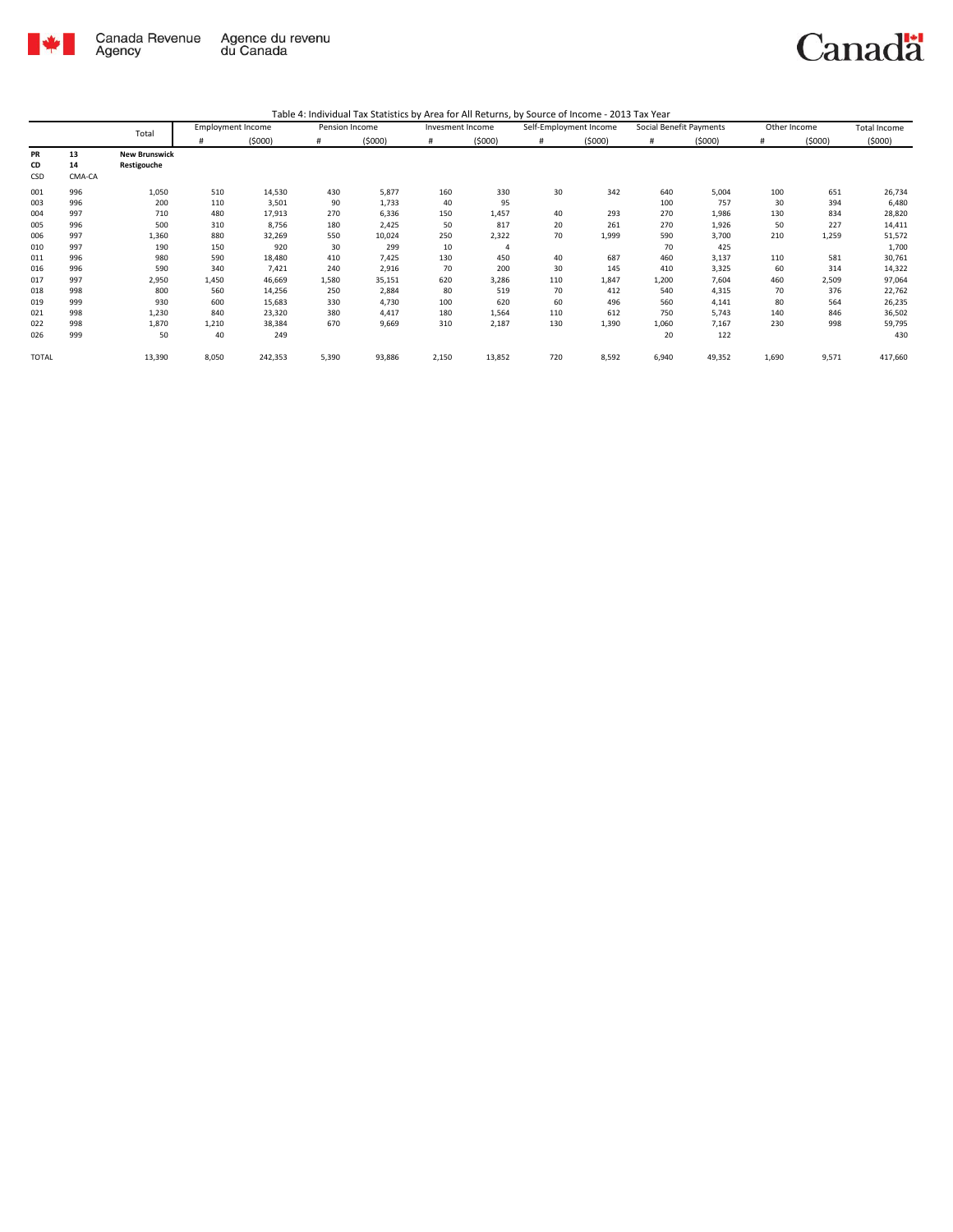

| Table 4: Individual Tax Statistics by Area for All Returns, by Source of Income - 2013 Tax Year |  |  |
|-------------------------------------------------------------------------------------------------|--|--|
|                                                                                                 |  |  |

|              |        | Total                | <b>Employment Income</b> |         | Pension Income |        | Invesment Income |                | Self-Employment Income |        | Social Benefit Payments |        | Other Income |        | <b>Total Income</b> |
|--------------|--------|----------------------|--------------------------|---------|----------------|--------|------------------|----------------|------------------------|--------|-------------------------|--------|--------------|--------|---------------------|
|              |        |                      | #                        | (5000)  | #              | (5000) | #                | (5000)         | #                      | (5000) | #                       | (5000) | #            | (5000) | (5000)              |
| <b>PR</b>    | 13     | <b>New Brunswick</b> |                          |         |                |        |                  |                |                        |        |                         |        |              |        |                     |
| CD           | 14     | Restigouche          |                          |         |                |        |                  |                |                        |        |                         |        |              |        |                     |
| CSD          | CMA-CA |                      |                          |         |                |        |                  |                |                        |        |                         |        |              |        |                     |
| 001          | 996    | 1,050                | 510                      | 14,530  | 430            | 5,877  | 160              | 330            | 30                     | 342    | 640                     | 5,004  | 100          | 651    | 26,734              |
| 003          | 996    | 200                  | 110                      | 3,501   | 90             | 1,733  | 40               | 95             |                        |        | 100                     | 757    | 30           | 394    | 6,480               |
| 004          | 997    | 710                  | 480                      | 17,913  | 270            | 6,336  | 150              | 1,457          | 40                     | 293    | 270                     | 1,986  | 130          | 834    | 28,820              |
| 005          | 996    | 500                  | 310                      | 8,756   | 180            | 2,425  | 50               | 817            | 20                     | 261    | 270                     | 1,926  | 50           | 227    | 14,411              |
| 006          | 997    | 1,360                | 880                      | 32,269  | 550            | 10,024 | 250              | 2,322          | 70                     | 1,999  | 590                     | 3,700  | 210          | 1,259  | 51,572              |
| 010          | 997    | 190                  | 150                      | 920     | 30             | 299    | 10               | $\overline{4}$ |                        |        | 70                      | 425    |              |        | 1,700               |
| 011          | 996    | 980                  | 590                      | 18,480  | 410            | 7,425  | 130              | 450            | 40                     | 687    | 460                     | 3,137  | 110          | 581    | 30,761              |
| 016          | 996    | 590                  | 340                      | 7,421   | 240            | 2,916  | 70               | 200            | 30                     | 145    | 410                     | 3,325  | 60           | 314    | 14,322              |
| 017          | 997    | 2,950                | 1,450                    | 46,669  | 1,580          | 35,151 | 620              | 3,286          | 110                    | 1,847  | 1,200                   | 7,604  | 460          | 2,509  | 97,064              |
| 018          | 998    | 800                  | 560                      | 14,256  | 250            | 2,884  | 80               | 519            | 70                     | 412    | 540                     | 4,315  | 70           | 376    | 22,762              |
| 019          | 999    | 930                  | 600                      | 15,683  | 330            | 4,730  | 100              | 620            | 60                     | 496    | 560                     | 4,141  | 80           | 564    | 26,235              |
| 021          | 998    | 1,230                | 840                      | 23,320  | 380            | 4,417  | 180              | 1,564          | 110                    | 612    | 750                     | 5,743  | 140          | 846    | 36,502              |
| 022          | 998    | 1,870                | 1,210                    | 38,384  | 670            | 9,669  | 310              | 2,187          | 130                    | 1,390  | 1,060                   | 7,167  | 230          | 998    | 59,795              |
| 026          | 999    | 50                   | 40                       | 249     |                |        |                  |                |                        |        | 20                      | 122    |              |        | 430                 |
| <b>TOTAL</b> |        | 13,390               | 8,050                    | 242,353 | 5,390          | 93,886 | 2,150            | 13,852         | 720                    | 8,592  | 6,940                   | 49,352 | 1,690        | 9,571  | 417,660             |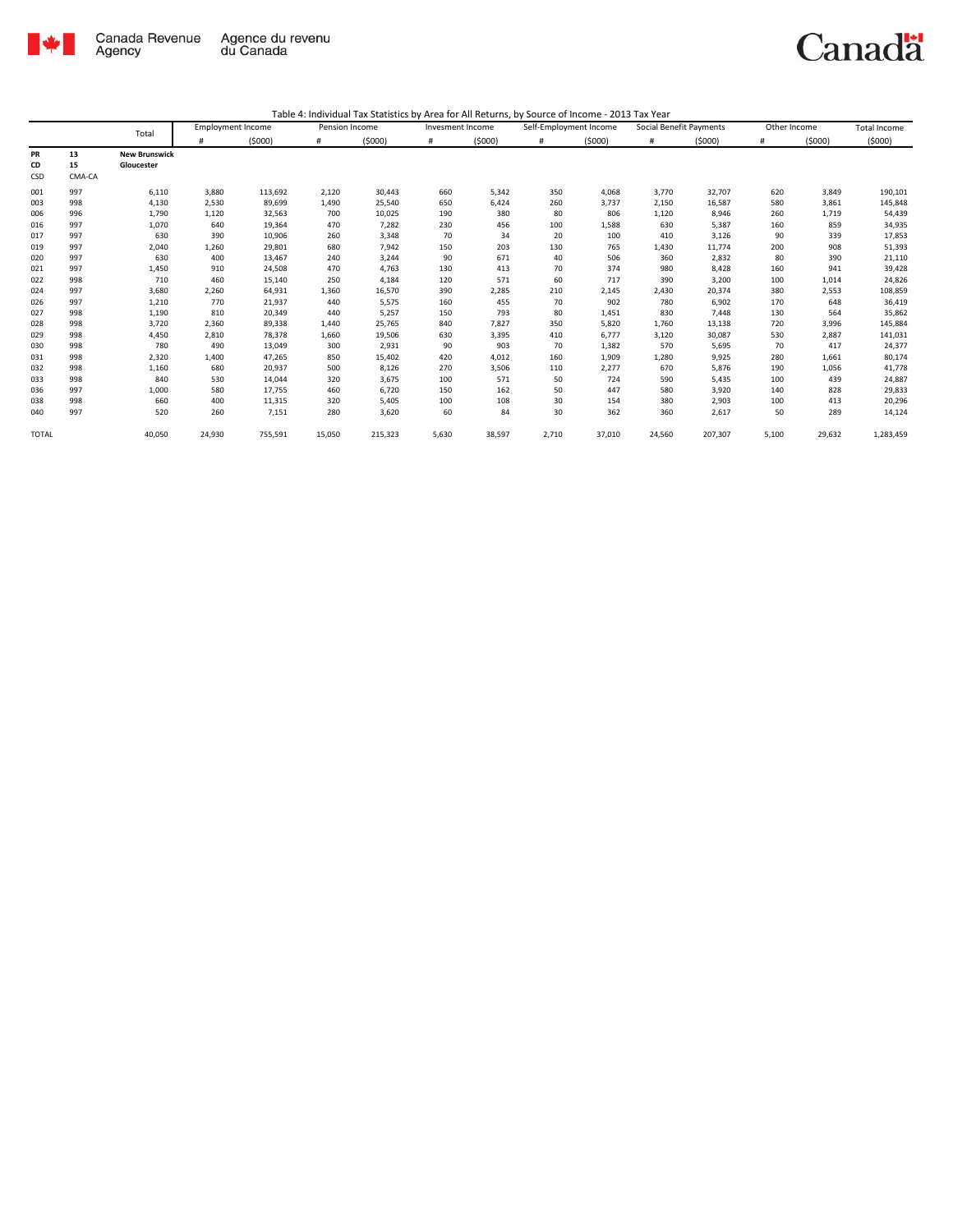

|              |        | Total                | <b>Employment Income</b> |         | Pension Income |         | Invesment Income |        | Self-Employment Income |        | Social Benefit Payments |         | Other Income |        | <b>Total Income</b> |
|--------------|--------|----------------------|--------------------------|---------|----------------|---------|------------------|--------|------------------------|--------|-------------------------|---------|--------------|--------|---------------------|
|              |        |                      | #                        | (5000)  | #              | (5000)  | #                | (5000) | #                      | (5000) | #                       | (5000)  | #            | (5000) | (5000)              |
| PR           | 13     | <b>New Brunswick</b> |                          |         |                |         |                  |        |                        |        |                         |         |              |        |                     |
| CD           | 15     | Gloucester           |                          |         |                |         |                  |        |                        |        |                         |         |              |        |                     |
| CSD          | CMA-CA |                      |                          |         |                |         |                  |        |                        |        |                         |         |              |        |                     |
| 001          | 997    | 6,110                | 3,880                    | 113,692 | 2,120          | 30,443  | 660              | 5,342  | 350                    | 4,068  | 3,770                   | 32,707  | 620          | 3,849  | 190,101             |
| 003          | 998    | 4,130                | 2,530                    | 89,699  | 1,490          | 25,540  | 650              | 6,424  | 260                    | 3.737  | 2,150                   | 16,587  | 580          | 3,861  | 145,848             |
| 006          | 996    | 1,790                | 1,120                    | 32,563  | 700            | 10,025  | 190              | 380    | 80                     | 806    | 1,120                   | 8,946   | 260          | 1,719  | 54,439              |
| 016          | 997    | 1,070                | 640                      | 19,364  | 470            | 7,282   | 230              | 456    | 100                    | 1,588  | 630                     | 5,387   | 160          | 859    | 34,935              |
| 017          | 997    | 630                  | 390                      | 10,906  | 260            | 3,348   | 70               | 34     | 20                     | 100    | 410                     | 3,126   | 90           | 339    | 17,853              |
| 019          | 997    | 2,040                | 1,260                    | 29,801  | 680            | 7,942   | 150              | 203    | 130                    | 765    | 1,430                   | 11,774  | 200          | 908    | 51,393              |
| 020          | 997    | 630                  | 400                      | 13,467  | 240            | 3,244   | 90               | 671    | 40                     | 506    | 360                     | 2,832   | 80           | 390    | 21,110              |
| 021          | 997    | 1,450                | 910                      | 24,508  | 470            | 4,763   | 130              | 413    | 70                     | 374    | 980                     | 8,428   | 160          | 941    | 39,428              |
| 022          | 998    | 710                  | 460                      | 15,140  | 250            | 4,184   | 120              | 571    | 60                     | 717    | 390                     | 3,200   | 100          | 1,014  | 24,826              |
| 024          | 997    | 3,680                | 2,260                    | 64,931  | 1,360          | 16,570  | 390              | 2,285  | 210                    | 2,145  | 2,430                   | 20,374  | 380          | 2,553  | 108,859             |
| 026          | 997    | 1,210                | 770                      | 21,937  | 440            | 5,575   | 160              | 455    | 70                     | 902    | 780                     | 6,902   | 170          | 648    | 36,419              |
| 027          | 998    | 1,190                | 810                      | 20,349  | 440            | 5,257   | 150              | 793    | 80                     | 1,451  | 830                     | 7,448   | 130          | 564    | 35,862              |
| 028          | 998    | 3,720                | 2,360                    | 89,338  | 1,440          | 25,765  | 840              | 7,827  | 350                    | 5,820  | 1,760                   | 13,138  | 720          | 3,996  | 145,884             |
| 029          | 998    | 4,450                | 2,810                    | 78,378  | 1,660          | 19,506  | 630              | 3,395  | 410                    | 6,777  | 3,120                   | 30,087  | 530          | 2,887  | 141,031             |
| 030          | 998    | 780                  | 490                      | 13,049  | 300            | 2,931   | 90               | 903    | 70                     | 1,382  | 570                     | 5,695   | 70           | 417    | 24,377              |
| 031          | 998    | 2,320                | 1,400                    | 47,265  | 850            | 15,402  | 420              | 4,012  | 160                    | 1,909  | 1,280                   | 9,925   | 280          | 1,661  | 80,174              |
| 032          | 998    | 1,160                | 680                      | 20,937  | 500            | 8,126   | 270              | 3,506  | 110                    | 2,277  | 670                     | 5,876   | 190          | 1,056  | 41,778              |
| 033          | 998    | 840                  | 530                      | 14,044  | 320            | 3,675   | 100              | 571    | 50                     | 724    | 590                     | 5,435   | 100          | 439    | 24,887              |
| 036          | 997    | 1,000                | 580                      | 17,755  | 460            | 6,720   | 150              | 162    | 50                     | 447    | 580                     | 3,920   | 140          | 828    | 29,833              |
| 038          | 998    | 660                  | 400                      | 11,315  | 320            | 5,405   | 100              | 108    | 30                     | 154    | 380                     | 2,903   | 100          | 413    | 20,296              |
| 040          | 997    | 520                  | 260                      | 7,151   | 280            | 3,620   | 60               | 84     | 30                     | 362    | 360                     | 2,617   | 50           | 289    | 14,124              |
| <b>TOTAL</b> |        | 40,050               | 24,930                   | 755,591 | 15,050         | 215,323 | 5,630            | 38,597 | 2,710                  | 37,010 | 24,560                  | 207,307 | 5,100        | 29,632 | 1,283,459           |